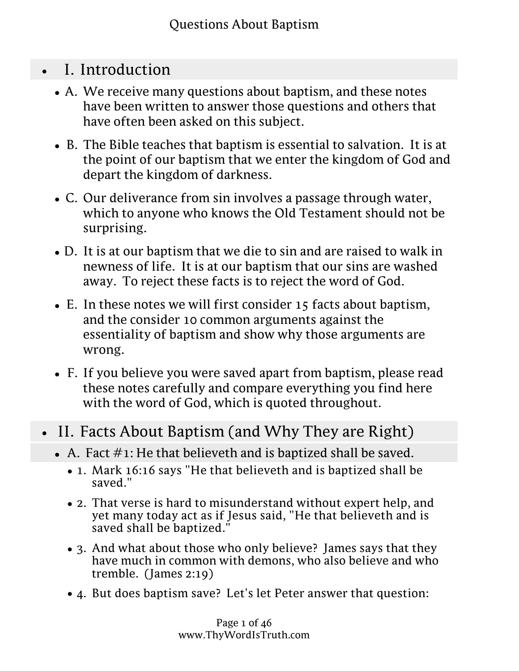- I. Introduction
	- A. We receive many questions about baptism, and these notes have been written to answer those questions and others that have often been asked on this subject.
	- B. The Bible teaches that baptism is essential to salvation. It is at the point of our baptism that we enter the kingdom of God and depart the kingdom of darkness.
	- C. Our deliverance from sin involves a passage through water, which to anyone who knows the Old Testament should not be surprising.
	- D. It is at our baptism that we die to sin and are raised to walk in newness of life. It is at our baptism that our sins are washed away. To reject these facts is to reject the word of God.
	- E. In these notes we will first consider 15 facts about baptism, and the consider 10 common arguments against the essentiality of baptism and show why those arguments are wrong.
	- F. If you believe you were saved apart from baptism, please read these notes carefully and compare everything you find here with the word of God, which is quoted throughout.
- II. Facts About Baptism (and Why They are Right)
	- $\bullet$  A. Fact  $\#$ 1: He that believeth and is baptized shall be saved.
		- 1. Mark 16:16 says "He that believeth and is baptized shall be saved."
		- 2. That verse is hard to misunderstand without expert help, and yet many today act as if Jesus said, "He that believeth and is saved shall be baptized."
		- 3. And what about those who only believe? James says that they have much in common with demons, who also believe and who tremble. (James 2:19)
		- 4. But does baptism save? Let's let Peter answer that question:
			- (not the putting away of the filth of the flesh, but the answer of a good con**scient at word is God,) by** the resurrection of Jesus a. The like figure whereunto even baptism doth also now save us Christ. (1 Peter 3:21)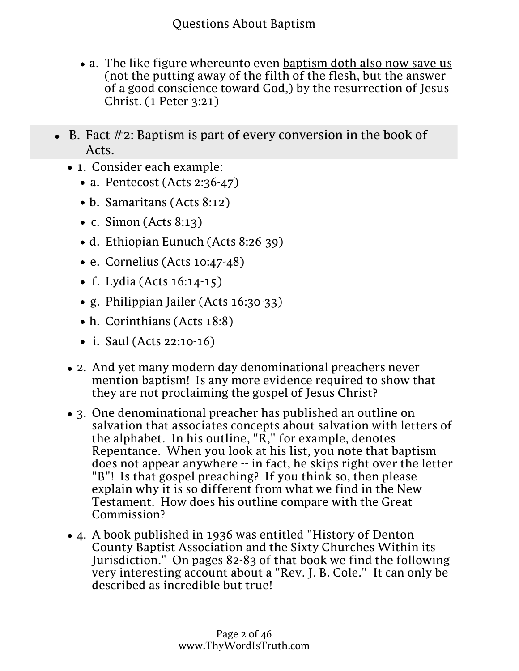- 4. But does baptism save? Let's let Peter answer that question:
	- a. The like figure whereunto even baptism doth also now save us (not the putting away of the filth of the flesh, but the answer of a good conscience toward God,) by the resurrection of Jesus Christ. (1 Peter 3:21)
- $\bullet$  B. Fact  $\#2$ : Baptism is part of every conversion in the book of Acts.
	- 1. Consider each example:
		- a. Pentecost (Acts 2:36-47)
		- b. Samaritans (Acts 8:12)
		- c. Simon (Acts  $8:13$ )
		- d. Ethiopian Eunuch (Acts 8:26-39)
		- e. Cornelius (Acts 10:47-48)
		- f. Lydia (Acts 16:14-15)
		- g. Philippian Jailer (Acts 16:30-33)
		- h. Corinthians (Acts 18:8)
		- i. Saul (Acts 22:10-16)
	- 2. And yet many modern day denominational preachers never mention baptism! Is any more evidence required to show that they are not proclaiming the gospel of Jesus Christ?
	- 3. One denominational preacher has published an outline on salvation that associates concepts about salvation with letters of the alphabet. In his outline,  $\overline{R}$ ," for example, denotes Repentance. When you look at his list, you note that baptism does not appear anywhere -- in fact, he skips right over the letter "B"! Is that gospel preaching? If you think so, then please explain why it is so different from what we find in the New Testament. How does his outline compare with the Great Commission?
	- 4. A book published in 1936 was entitled "History of Denton County Baptist Association and the Sixty Churches Within its Jurisdiction." On pages 82-83 of that book we find the following very interesting account about a "Rev. J. B. Cole." It can only be described as incredible but true!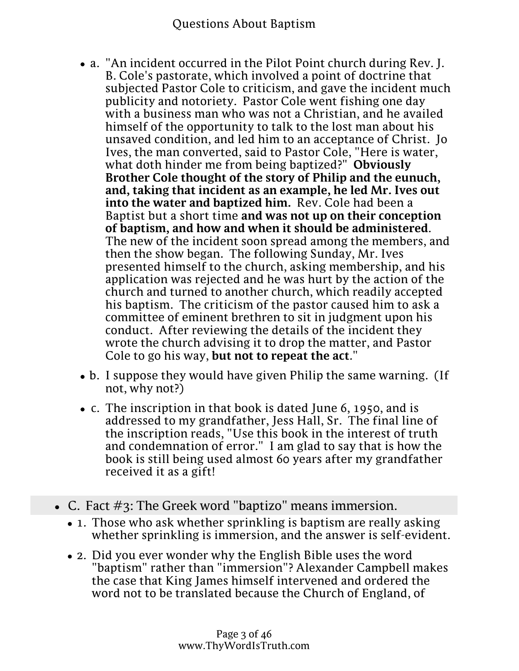- Jurisdiction." **QuaageasA83utBaatibo**ok we find the following honoa m 1796 was entitled i County Baptist Association and the Sixty Churches Within its very interesting account about a "Rev. J. B. Cole." It can only be described as incredible but true!
	- a. "An incident occurred in the Pilot Point church during Rev. J. B. Cole's pastorate, which involved a point of doctrine that subjected Pastor Cole to criticism, and gave the incident much publicity and notoriety. Pastor Cole went fishing one day with a business man who was not a Christian, and he availed himself of the opportunity to talk to the lost man about his unsaved condition, and led him to an acceptance of Christ. Jo Ives, the man converted, said to Pastor Cole, "Here is water, what doth hinder me from being baptized?" **Obviously Brother Cole thought of the story of Philip and the eunuch, and, taking that incident as an example, he led Mr. Ives out into the water and baptized him.** Rev. Cole had been a Baptist but a short time **and was not up on their conception of baptism, and how and when it should be administered**. The new of the incident soon spread among the members, and then the show began. The following Sunday, Mr. Ives presented himself to the church, asking membership, and his application was rejected and he was hurt by the action of the church and turned to another church, which readily accepted his baptism. The criticism of the pastor caused him to ask a committee of eminent brethren to sit in judgment upon his conduct. After reviewing the details of the incident they wrote the church advising it to drop the matter, and Pastor Cole to go his way, **but not to repeat the act**."
	- b. I suppose they would have given Philip the same warning. (If not, why not?)
	- c. The inscription in that book is dated June 6, 1950, and is addressed to my grandfather, Jess Hall, Sr. The final line of the inscription reads, "Use this book in the interest of truth and condemnation of error." I am glad to say that is how the book is still being used almost 60 years after my grandfather received it as a gift!
- C. Fact  $\#_3$ : The Greek word "baptizo" means immersion.
	- 1. Those who ask whether sprinkling is baptism are really asking whether sprinkling is immersion, and the answer is self-evident.
	- 2. Did you ever wonder why the English Bible uses the word "baptism" rather than "immersion"? Alexander Campbell makes the case that King James himself intervened and ordered the word not to be translated because the Church of England, of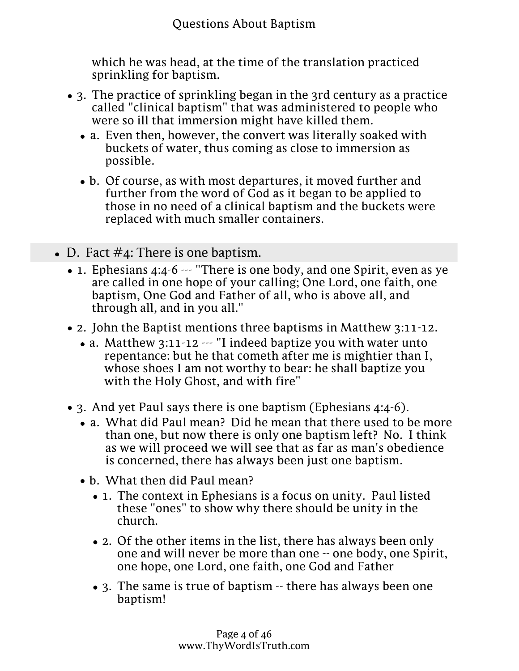which he was head, at the time of the translation practiced sprinkling for baptism.

- 3. The practice of sprinkling began in the 3rd century as a practice called "clinical baptism" that was administered to people who were so ill that immersion might have killed them.
	- a. Even then, however, the convert was literally soaked with buckets of water, thus coming as close to immersion as possible.
	- b. Of course, as with most departures, it moved further and further from the word of God as it began to be applied to those in no need of a clinical baptism and the buckets were replaced with much smaller containers.
- $\bullet$  D. Fact #4: There is one baptism.
	- 1. Ephesians 4:4-6 --- "There is one body, and one Spirit, even as ye are called in one hope of your calling; One Lord, one faith, one baptism, One God and Father of all, who is above all, and through all, and in you all."
	- 2. John the Baptist mentions three baptisms in Matthew 3:11-12.
		- a. Matthew 3:11-12 --- "I indeed baptize you with water unto repentance: but he that cometh after me is mightier than I, whose shoes I am not worthy to bear: he shall baptize you with the Holy Ghost, and with fire"
	- 3. And yet Paul says there is one baptism (Ephesians 4:4-6).
		- a. What did Paul mean? Did he mean that there used to be more than one, but now there is only one baptism left? No. I think as we will proceed we will see that as far as man's obedience is concerned, there has always been just one baptism.
		- b. What then did Paul mean?
			- 1. The context in Ephesians is a focus on unity. Paul listed these "ones" to show why there should be unity in the church.
			- 2. Of the other items in the list, there has always been only one and will never be more than one -- one body, one Spirit, one hope, one Lord, one faith, one God and Father
			- 3. The same is true of baptism -- there has always been one baptism!

Page 4 of 46 www.ThyWordIsTruth.com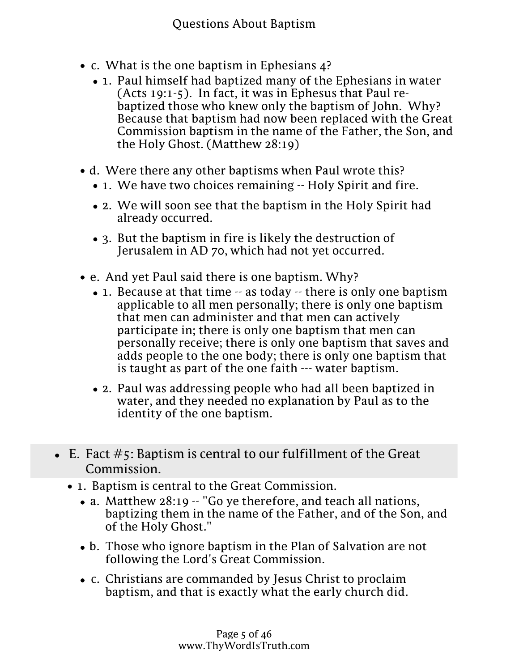- c. What is the one baptism in Ephesians 4?
	- 1. Paul himself had baptized many of the Ephesians in water (Acts 19:1-5). In fact, it was in Ephesus that Paul rebaptized those who knew only the baptism of John. Why? Because that baptism had now been replaced with the Great Commission baptism in the name of the Father, the Son, and the Holy Ghost. (Matthew 28:19)
- d. Were there any other baptisms when Paul wrote this?
	- 1. We have two choices remaining -- Holy Spirit and fire.
	- 2. We will soon see that the baptism in the Holy Spirit had already occurred.
	- 3. But the baptism in fire is likely the destruction of Jerusalem in AD 70, which had not yet occurred.
- e. And yet Paul said there is one baptism. Why?
	- 1. Because at that time -- as today -- there is only one baptism applicable to all men personally; there is only one baptism that men can administer and that men can actively participate in; there is only one baptism that men can personally receive; there is only one baptism that saves and adds people to the one body; there is only one baptism that is taught as part of the one faith --- water baptism.
	- 2. Paul was addressing people who had all been baptized in water, and they needed no explanation by Paul as to the identity of the one baptism.
- $\bullet$  E. Fact  $\#$ 5: Baptism is central to our fulfillment of the Great Commission.
	- 1. Baptism is central to the Great Commission.
		- a. Matthew 28:19 -- "Go ye therefore, and teach all nations, baptizing them in the name of the Father, and of the Son, and of the Holy Ghost."
		- b. Those who ignore baptism in the Plan of Salvation are not following the Lord's Great Commission.
		- c. Christians are commanded by Jesus Christ to proclaim baptism, and that is exactly what the early church did.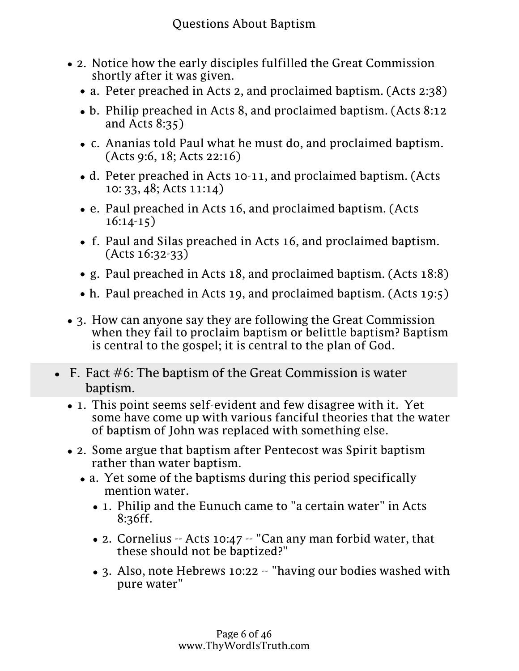- 2. Notice how the early disciples fulfilled the Great Commission shortly after it was given.
	- a. Peter preached in Acts 2, and proclaimed baptism. (Acts 2:38)
	- b. Philip preached in Acts 8, and proclaimed baptism. (Acts 8:12 and Acts 8:35)
	- c. Ananias told Paul what he must do, and proclaimed baptism. (Acts 9:6, 18; Acts 22:16)
	- d. Peter preached in Acts 10-11, and proclaimed baptism. (Acts 10: 33, 48; Acts 11:14)
	- e. Paul preached in Acts 16, and proclaimed baptism. (Acts 16:14-15)
	- f. Paul and Silas preached in Acts 16, and proclaimed baptism. (Acts 16:32-33)
	- g. Paul preached in Acts 18, and proclaimed baptism. (Acts 18:8)
	- h. Paul preached in Acts 19, and proclaimed baptism. (Acts 19:5)
- 3. How can anyone say they are following the Great Commission when they fail to proclaim baptism or belittle baptism? Baptism is central to the gospel; it is central to the plan of God.
- F. Fact  $#6$ : The baptism of the Great Commission is water baptism.
	- 1. This point seems self-evident and few disagree with it. Yet some have come up with various fanciful theories that the water of baptism of John was replaced with something else.
	- 2. Some argue that baptism after Pentecost was Spirit baptism rather than water baptism.
		- a. Yet some of the baptisms during this period specifically mention water.
			- 1. Philip and the Eunuch came to "a certain water" in Acts 8:36ff.
			- 2. Cornelius -- Acts 10:47 -- "Can any man forbid water, that these should not be baptized?"
			- 3. Also, note Hebrews 10:22 -- "having our bodies washed with pure water"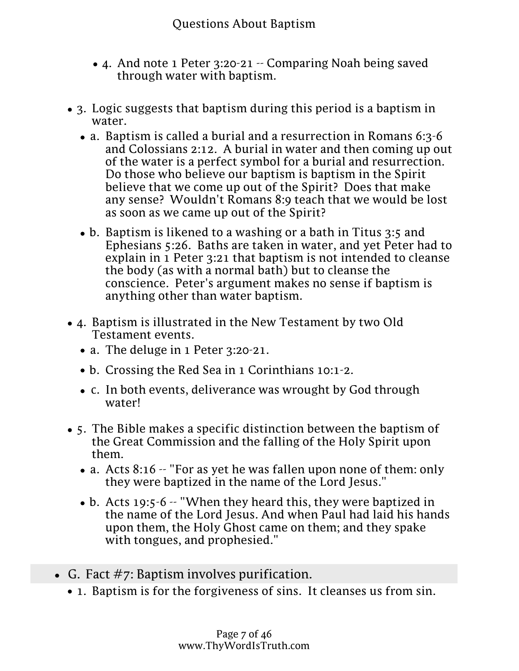- Questions About Baptism 3. Also, note Hebrews 10:22 -- "having our bodies washed with pure water"
- 4. And note 1 Peter 3:20-21 -- Comparing Noah being saved through water with baptism.
- 3. Logic suggests that baptism during this period is a baptism in water.
	- a. Baptism is called a burial and a resurrection in Romans 6:3-6 and Colossians 2:12. A burial in water and then coming up out of the water is a perfect symbol for a burial and resurrection. Do those who believe our baptism is baptism in the Spirit believe that we come up out of the Spirit? Does that make any sense? Wouldn't Romans 8:9 teach that we would be lost as soon as we came up out of the Spirit?
	- b. Baptism is likened to a washing or a bath in Titus 3:5 and Ephesians 5:26. Baths are taken in water, and yet Peter had to explain in 1 Peter 3:21 that baptism is not intended to cleanse the body (as with a normal bath) but to cleanse the conscience. Peter's argument makes no sense if baptism is anything other than water baptism.
- 4. Baptism is illustrated in the New Testament by two Old Testament events.
	- a. The deluge in 1 Peter 3:20-21.
	- b. Crossing the Red Sea in 1 Corinthians 10:1-2.
	- c. In both events, deliverance was wrought by God through water!
- 5. The Bible makes a specific distinction between the baptism of the Great Commission and the falling of the Holy Spirit upon them.
	- a. Acts 8:16 -- "For as yet he was fallen upon none of them: only they were baptized in the name of the Lord Jesus."
	- b. Acts 19:5-6 -- "When they heard this, they were baptized in the name of the Lord Jesus. And when Paul had laid his hands upon them, the Holy Ghost came on them; and they spake with tongues, and prophesied."
- G. Fact  $\#$ 7: Baptism involves purification.
	- 1. Baptism is for the forgiveness of sins. It cleanses us from sin.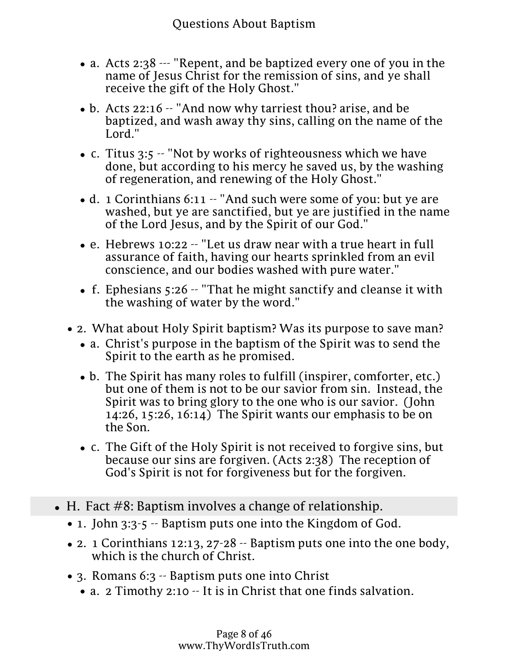- Questions About Baptism G. Fact #7: Baptism involves purification.
	- 1. Baptism is for the forgiveness of sins. It cleanses us from sin.
		- a. Acts 2:38 --- "Repent, and be baptized every one of you in the name of Jesus Christ for the remission of sins, and ye shall receive the gift of the Holy Ghost."
		- b. Acts 22:16 -- "And now why tarriest thou? arise, and be baptized, and wash away thy sins, calling on the name of the Lord."
		- c. Titus 3:5 -- "Not by works of righteousness which we have done, but according to his mercy he saved us, by the washing of regeneration, and renewing of the Holy Ghost."
		- d. 1 Corinthians 6:11 -- "And such were some of you: but ye are washed, but ye are sanctified, but ye are justified in the name of the Lord Jesus, and by the Spirit of our God."
		- e. Hebrews 10:22 -- "Let us draw near with a true heart in full assurance of faith, having our hearts sprinkled from an evil conscience, and our bodies washed with pure water."
		- f. Ephesians 5:26 -- "That he might sanctify and cleanse it with the washing of water by the word."
	- 2. What about Holy Spirit baptism? Was its purpose to save man?
		- a. Christ's purpose in the baptism of the Spirit was to send the Spirit to the earth as he promised.
		- b. The Spirit has many roles to fulfill (inspirer, comforter, etc.) but one of them is not to be our savior from sin. Instead, the Spirit was to bring glory to the one who is our savior. (John 14:26, 15:26, 16:14) The Spirit wants our emphasis to be on the Son.
		- c. The Gift of the Holy Spirit is not received to forgive sins, but because our sins are forgiven. (Acts 2:38) The reception of God's Spirit is not for forgiveness but for the forgiven.
- $\bullet$  H. Fact  $\#8$ : Baptism involves a change of relationship.
	- 1. John 3:3-5 -- Baptism puts one into the Kingdom of God.
	- 2. 1 Corinthians 12:13, 27-28 -- Baptism puts one into the one body, which is the church of Christ.
	- 3. Romans 6:3 -- Baptism puts one into Christ
		- a. 2 Timothy 2:10 It is in Christ that one finds salvation.
		- b. Ephesians 1:7 It is in Christ that one finds redemption from sins.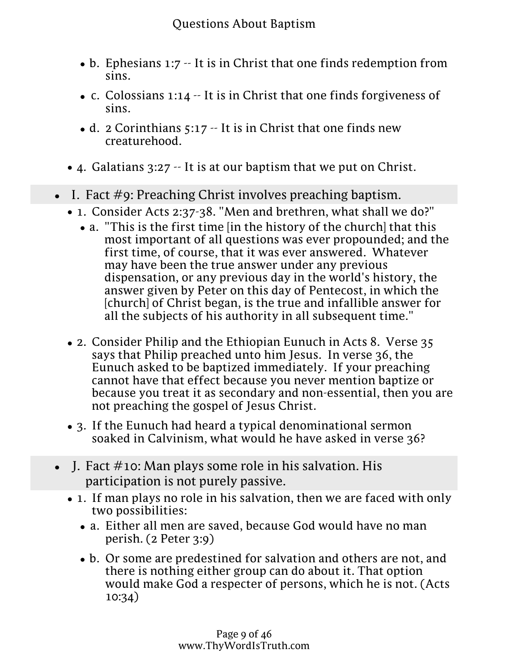- 3. Romans 6:3 -- Baptism putsb9nt Baptismist
	- b. Ephesians 1:7 -- It is in Christ that one finds redemption from sins.
	- c. Colossians 1:14 -- It is in Christ that one finds forgiveness of sins.
	- d. 2 Corinthians 5:17 -- It is in Christ that one finds new creaturehood.
- 4. Galatians 3:27 -- It is at our baptism that we put on Christ.
- I. Fact  $\#$ 9: Preaching Christ involves preaching baptism.
	- 1. Consider Acts 2:37-38. "Men and brethren, what shall we do?"
		- a. "This is the first time [in the history of the church] that this most important of all questions was ever propounded; and the first time, of course, that it was ever answered. Whatever may have been the true answer under any previous dispensation, or any previous day in the world's history, the answer given by Peter on this day of Pentecost, in which the [church] of Christ began, is the true and infallible answer for all the subjects of his authority in all subsequent time."
	- 2. Consider Philip and the Ethiopian Eunuch in Acts 8. Verse 35 says that Philip preached unto him Jesus. In verse 36, the Eunuch asked to be baptized immediately. If your preaching cannot have that effect because you never mention baptize or because you treat it as secondary and non-essential, then you are not preaching the gospel of Jesus Christ.
	- 3. If the Eunuch had heard a typical denominational sermon soaked in Calvinism, what would he have asked in verse 36?
- $\bullet$  I. Fact #10: Man plays some role in his salvation. His participation is not purely passive.
	- 1. If man plays no role in his salvation, then we are faced with only two possibilities:
		- a. Either all men are saved, because God would have no man perish. (2 Peter 3:9)
		- b. Or some are predestined for salvation and others are not, and there is nothing either group can do about it. That option would make God a respecter of persons, which he is not. (Acts 10:34)
	- some role in his salvat**ion**e 9 of 46 www.ThyWordIsTruth.com 2. So where does that leave us? It must be true that man plays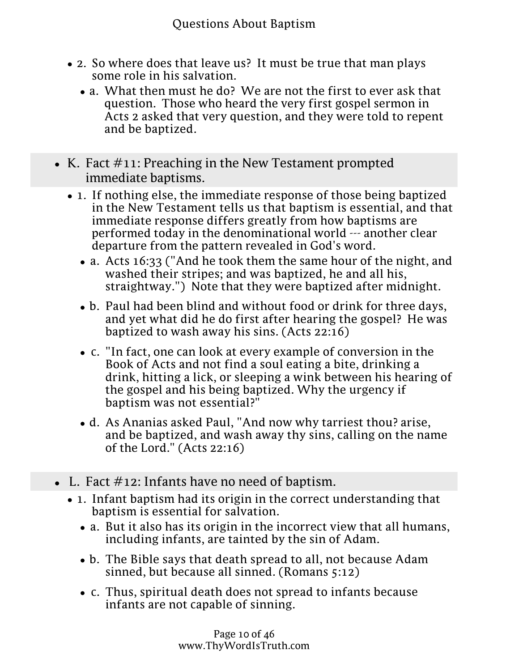- 2. So where does that leave us? It must be true that man plays some role in his salvation.
	- a. What then must he do? We are not the first to ever ask that question. Those who heard the very first gospel sermon in Acts 2 asked that very question, and they were told to repent and be baptized.
- K. Fact  $\#11$ : Preaching in the New Testament prompted immediate baptisms.
	- 1. If nothing else, the immediate response of those being baptized in the New Testament tells us that baptism is essential, and that immediate response differs greatly from how baptisms are performed today in the denominational world --- another clear departure from the pattern revealed in God's word.
		- a. Acts 16:33 ("And he took them the same hour of the night, and washed their stripes; and was baptized, he and all his, straightway.") Note that they were baptized after midnight.
		- b. Paul had been blind and without food or drink for three days, and yet what did he do first after hearing the gospel? He was baptized to wash away his sins. (Acts 22:16)
		- c. "In fact, one can look at every example of conversion in the Book of Acts and not find a soul eating a bite, drinking a drink, hitting a lick, or sleeping a wink between his hearing of the gospel and his being baptized. Why the urgency if baptism was not essential?"
		- d. As Ananias asked Paul, "And now why tarriest thou? arise, and be baptized, and wash away thy sins, calling on the name of the Lord." (Acts 22:16)
- $\bullet$  L. Fact  $\#$ 12: Infants have no need of baptism.
	- 1. Infant baptism had its origin in the correct understanding that baptism is essential for salvation.
		- a. But it also has its origin in the incorrect view that all humans, including infants, are tainted by the sin of Adam.
		- b. The Bible says that death spread to all, not because Adam sinned, but because all sinned. (Romans 5:12)
		- c. Thus, spiritual death does not spread to infants because infants are not capable of sinning.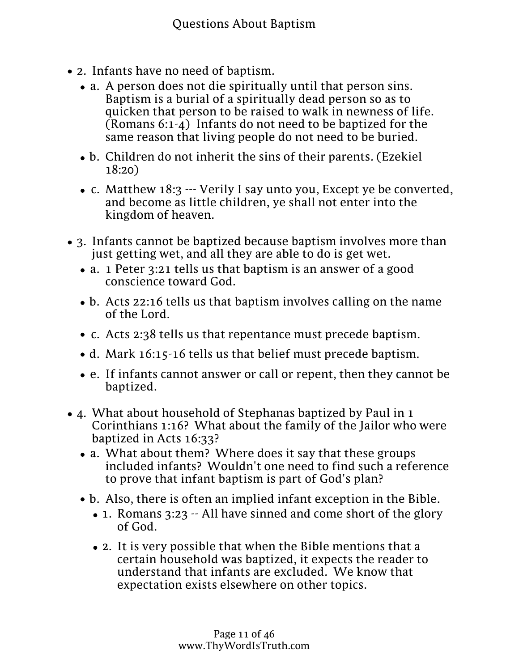- c. Thus, spiritual death does not spread to infants because infants are not capable of sinning.
- 2. Infants have no need of baptism.
	- a. A person does not die spiritually until that person sins. Baptism is a burial of a spiritually dead person so as to quicken that person to be raised to walk in newness of life. (Romans 6:1-4) Infants do not need to be baptized for the same reason that living people do not need to be buried.
	- b. Children do not inherit the sins of their parents. (Ezekiel 18:20)
	- c. Matthew 18:3 --- Verily I say unto you, Except ye be converted, and become as little children, ye shall not enter into the kingdom of heaven.
- 3. Infants cannot be baptized because baptism involves more than just getting wet, and all they are able to do is get wet.
	- a. 1 Peter 3:21 tells us that baptism is an answer of a good conscience toward God.
	- b. Acts 22:16 tells us that baptism involves calling on the name of the Lord.
	- c. Acts 2:38 tells us that repentance must precede baptism.
	- d. Mark 16:15-16 tells us that belief must precede baptism.
	- e. If infants cannot answer or call or repent, then they cannot be baptized.
- 4. What about household of Stephanas baptized by Paul in 1 Corinthians 1:16? What about the family of the Jailor who were baptized in Acts 16:33?
	- a. What about them? Where does it say that these groups included infants? Wouldn't one need to find such a reference to prove that infant baptism is part of God's plan?
	- b. Also, there is often an implied infant exception in the Bible.
		- 1. Romans 3:23 -- All have sinned and come short of the glory of God.
		- 2. It is very possible that when the Bible mentions that a certain household was baptized, it expects the reader to understand that infants are excluded. We know that expectation exists elsewhere on other topics.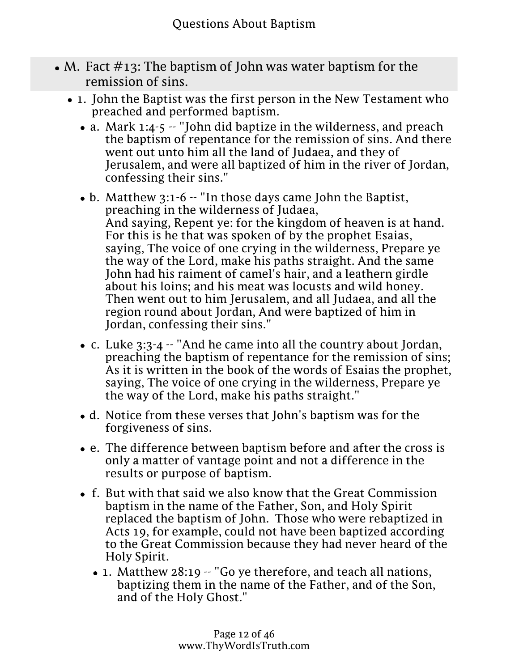- M. Fact  $\#13$ : The baptism of John was water baptism for the remission of sins.
	- 1. John the Baptist was the first person in the New Testament who preached and performed baptism.
		- a. Mark 1:4-5  $-$  "John did baptize in the wilderness, and preach the baptism of repentance for the remission of sins. And there went out unto him all the land of Judaea, and they of Jerusalem, and were all baptized of him in the river of Jordan, confessing their sins."
		- b. Matthew 3:1-6 -- "In those days came John the Baptist, preaching in the wilderness of Judaea, And saying, Repent ye: for the kingdom of heaven is at hand. For this is he that was spoken of by the prophet Esaias, saying, The voice of one crying in the wilderness, Prepare ye the way of the Lord, make his paths straight. And the same John had his raiment of camel's hair, and a leathern girdle about his loins; and his meat was locusts and wild honey. Then went out to him Jerusalem, and all Judaea, and all the region round about Jordan, And were baptized of him in Jordan, confessing their sins."
		- c. Luke 3:3-4 -- "And he came into all the country about Jordan, preaching the baptism of repentance for the remission of sins; As it is written in the book of the words of Esaias the prophet, saying, The voice of one crying in the wilderness, Prepare ye the way of the Lord, make his paths straight."
		- d. Notice from these verses that John's baptism was for the forgiveness of sins.
		- e. The difference between baptism before and after the cross is only a matter of vantage point and not a difference in the results or purpose of baptism.
		- f. But with that said we also know that the Great Commission baptism in the name of the Father, Son, and Holy Spirit replaced the baptism of John. Those who were rebaptized in Acts 19, for example, could not have been baptized according to the Great Commission because they had never heard of the Holy Spirit.
			- 1. Matthew 28:19 -- "Go ye therefore, and teach all nations, baptizing them in the name of the Father, and of the Son, and of the Holy Ghost."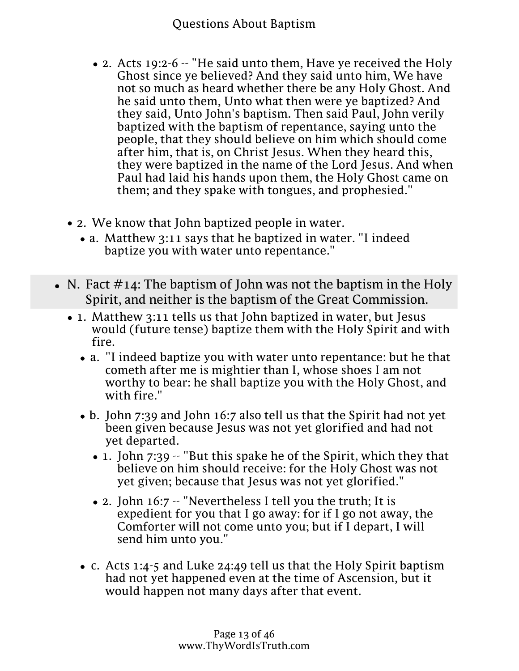- Holy Spirit.
- 1. Matthew 28:19 -- "Go ye therefore, and teach all nations,<br>bontizing Puestions About Baptism at hor and of the Son baptizing them in the name of the Father, and of the Son, and of the Holy Ghost."
- 2. Acts 19:2-6 -- "He said unto them, Have ye received the Holy Ghost since ye believed? And they said unto him, We have not so much as heard whether there be any Holy Ghost. And he said unto them, Unto what then were ye baptized? And they said, Unto John's baptism. Then said Paul, John verily baptized with the baptism of repentance, saying unto the people, that they should believe on him which should come after him, that is, on Christ Jesus. When they heard this, they were baptized in the name of the Lord Jesus. And when Paul had laid his hands upon them, the Holy Ghost came on them; and they spake with tongues, and prophesied."
- 2. We know that John baptized people in water.
	- a. Matthew 3:11 says that he baptized in water. "I indeed baptize you with water unto repentance."
- N. Fact  $\#14$ : The baptism of John was not the baptism in the Holy Spirit, and neither is the baptism of the Great Commission.
	- 1. Matthew 3:11 tells us that John baptized in water, but Jesus would (future tense) baptize them with the Holy Spirit and with fire.
		- a. "I indeed baptize you with water unto repentance: but he that cometh after me is mightier than I, whose shoes I am not worthy to bear: he shall baptize you with the Holy Ghost, and with fire."
		- b. John 7:39 and John 16:7 also tell us that the Spirit had not yet been given because Jesus was not yet glorified and had not yet departed.
			- $\bullet$  1. John 7:39  $\sim$  "But this spake he of the Spirit, which they that believe on him should receive: for the Holy Ghost was not yet given; because that Jesus was not yet glorified."
			- 2. John 16:7 -- "Nevertheless I tell you the truth; It is expedient for you that I go away: for if I go not away, the Comforter will not come unto you; but if I depart, I will send him unto you."
		- c. Acts 1:4-5 and Luke 24:49 tell us that the Holy Spirit baptism had not yet happened even at the time of Ascension, but it would happen not many days after that event.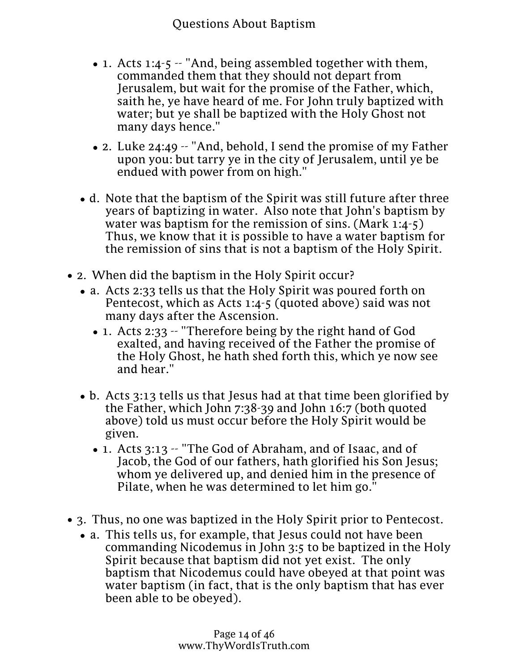- c. Acts 1:4-5 and Leskons: Aboul Baptism the Holy Spirit baptism had not yet happened even at the time of Ascension, but it would happen not many days after that event.
	- $\bullet$  1. Acts 1:4-5  $\sim$  "And, being assembled together with them, commanded them that they should not depart from Jerusalem, but wait for the promise of the Father, which, saith he, ye have heard of me. For John truly baptized with water; but ye shall be baptized with the Holy Ghost not many days hence."
	- 2. Luke 24:49 -- "And, behold, I send the promise of my Father upon you: but tarry ye in the city of Jerusalem, until ye be endued with power from on high."
- d. Note that the baptism of the Spirit was still future after three years of baptizing in water. Also note that John's baptism by water was baptism for the remission of sins. (Mark 1:4-5) Thus, we know that it is possible to have a water baptism for the remission of sins that is not a baptism of the Holy Spirit.
- 2. When did the baptism in the Holy Spirit occur?
	- a. Acts 2:33 tells us that the Holy Spirit was poured forth on Pentecost, which as Acts 1:4-5 (quoted above) said was not many days after the Ascension.
		- 1. Acts 2:33 -- "Therefore being by the right hand of God exalted, and having received of the Father the promise of the Holy Ghost, he hath shed forth this, which ye now see and hear."
	- b. Acts 3:13 tells us that Jesus had at that time been glorified by the Father, which John 7:38-39 and John 16:7 (both quoted above) told us must occur before the Holy Spirit would be given.
		- 1. Acts 3:13 -- "The God of Abraham, and of Isaac, and of Jacob, the God of our fathers, hath glorified his Son Jesus; whom ye delivered up, and denied him in the presence of Pilate, when he was determined to let him go."
- 3. Thus, no one was baptized in the Holy Spirit prior to Pentecost.
	- a. This tells us, for example, that Jesus could not have been commanding Nicodemus in John 3:5 to be baptized in the Holy Spirit because that baptism did not yet exist. The only baptism that Nicodemus could have obeyed at that point was water baptism (in fact, that is the only baptism that has ever been able to be obeyed).
	- period were those wagereiesttad the counsel of God. www.ThyWordIsTruth.com b. The only people who rejected John's baptism during this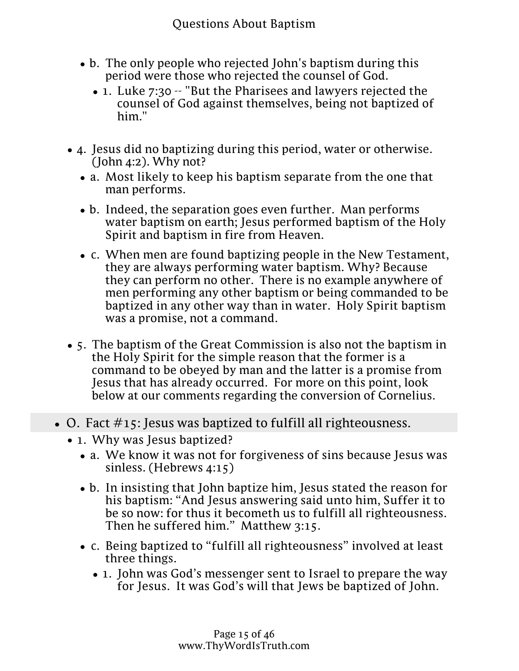- b. The only people who rejected John's baptism during this period were those who rejected the counsel of God.
	- 1. Luke 7:30 -- "But the Pharisees and lawyers rejected the counsel of God against themselves, being not baptized of him."
- 4. Jesus did no baptizing during this period, water or otherwise. (John  $4:2$ ). Why not?
	- a. Most likely to keep his baptism separate from the one that man performs.
	- b. Indeed, the separation goes even further. Man performs water baptism on earth; Jesus performed baptism of the Holy Spirit and baptism in fire from Heaven.
	- c. When men are found baptizing people in the New Testament, they are always performing water baptism. Why? Because they can perform no other. There is no example anywhere of men performing any other baptism or being commanded to be baptized in any other way than in water. Holy Spirit baptism was a promise, not a command.
- 5. The baptism of the Great Commission is also not the baptism in the Holy Spirit for the simple reason that the former is a command to be obeyed by man and the latter is a promise from Jesus that has already occurred. For more on this point, look below at our comments regarding the conversion of Cornelius.
- $\bullet$  O. Fact  $\#15$ : Jesus was baptized to fulfill all righteousness.
	- 1. Why was Jesus baptized?
		- a. We know it was not for forgiveness of sins because Jesus was sinless. (Hebrews 4:15)
		- b. In insisting that John baptize him, Jesus stated the reason for his baptism: "And Jesus answering said unto him, Suffer it to be so now: for thus it becometh us to fulfill all righteousness. Then he suffered him." Matthew 3:15.
		- c. Being baptized to "fulfill all righteousness" involved at least three things.
			- 1. John was God's messenger sent to Israel to prepare the way for Jesus. It was God's will that Jews be baptized of John.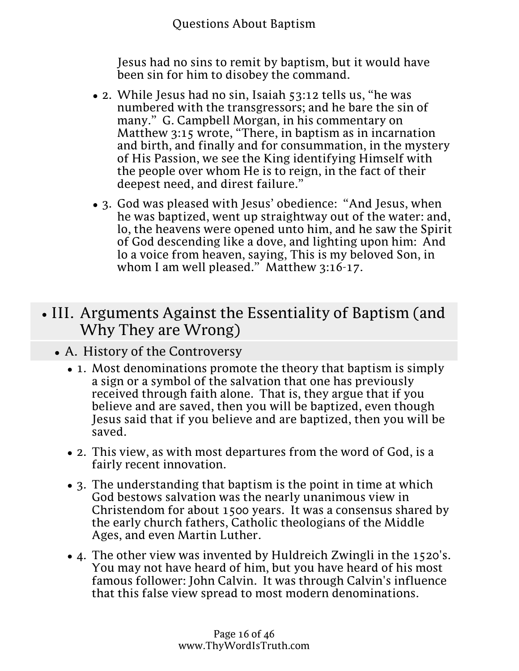- three thingsQuestions About Baptism c. Being baptized to "fulfill all righteousness" involved at least
	-

Jesus had no sins to remit by baptism, but it would have been sin for him to disobey the command.

- 2. While Jesus had no sin, Isaiah 53:12 tells us, "he was numbered with the transgressors; and he bare the sin of many." G. Campbell Morgan, in his commentary on Matthew 3:15 wrote, "There, in baptism as in incarnation and birth, and finally and for consummation, in the mystery of His Passion, we see the King identifying Himself with the people over whom He is to reign, in the fact of their deepest need, and direst failure."
- 3. God was pleased with Jesus' obedience: "And Jesus, when he was baptized, went up straightway out of the water: and, lo, the heavens were opened unto him, and he saw the Spirit of God descending like a dove, and lighting upon him: And lo a voice from heaven, saying, This is my beloved Son, in whom I am well pleased." Matthew 3:16-17.

# • III. Arguments Against the Essentiality of Baptism (and Why They are Wrong)

- A. History of the Controversy
	- 1. Most denominations promote the theory that baptism is simply a sign or a symbol of the salvation that one has previously received through faith alone. That is, they argue that if you believe and are saved, then you will be baptized, even though Jesus said that if you believe and are baptized, then you will be saved.
	- 2. This view, as with most departures from the word of God, is a fairly recent innovation.
	- 3. The understanding that baptism is the point in time at which God bestows salvation was the nearly unanimous view in Christendom for about 1500 years. It was a consensus shared by the early church fathers, Catholic theologians of the Middle Ages, and even Martin Luther.
	- 4. The other view was invented by Huldreich Zwingli in the 1520's. You may not have heard of him, but you have heard of his most famous follower: John Calvin. It was through Calvin's influence that this false view spread to most modern denominations.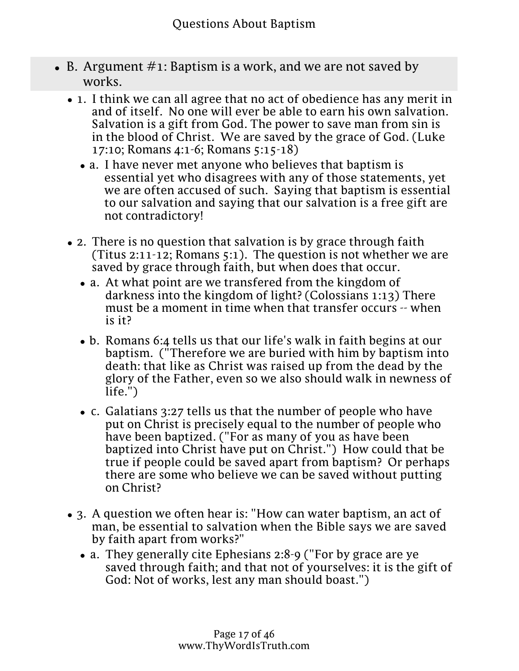- $\bullet$  B. Argument  $\#$ 1: Baptism is a work, and we are not saved by works.
	- 1. I think we can all agree that no act of obedience has any merit in and of itself. No one will ever be able to earn his own salvation. Salvation is a gift from God. The power to save man from sin is in the blood of Christ. We are saved by the grace of God. (Luke 17:10; Romans 4:1-6; Romans 5:15-18)
		- a. I have never met anyone who believes that baptism is essential yet who disagrees with any of those statements, yet we are often accused of such. Saying that baptism is essential to our salvation and saying that our salvation is a free gift are not contradictory!
	- 2. There is no question that salvation is by grace through faith (Titus 2:11-12; Romans 5:1). The question is not whether we are saved by grace through faith, but when does that occur.
		- a. At what point are we transfered from the kingdom of darkness into the kingdom of light? (Colossians 1:13) There must be a moment in time when that transfer occurs -- when is it?
		- b. Romans 6:4 tells us that our life's walk in faith begins at our baptism. ("Therefore we are buried with him by baptism into death: that like as Christ was raised up from the dead by the glory of the Father, even so we also should walk in newness of life.")
		- c. Galatians 3:27 tells us that the number of people who have put on Christ is precisely equal to the number of people who have been baptized. ("For as many of you as have been baptized into Christ have put on Christ.") How could that be true if people could be saved apart from baptism? Or perhaps there are some who believe we can be saved without putting on Christ?
	- 3. A question we often hear is: "How can water baptism, an act of man, be essential to salvation when the Bible says we are saved by faith apart from works?"
		- a. They generally cite Ephesians 2:8-9 ("For by grace are ye saved through faith; and that not of yourselves: it is the gift of God: Not of works, lest any man should boast.")
		- b. To respond we need to consider two questions: What is saving faith? Is baptism a part of the saving faith or is baptism a work?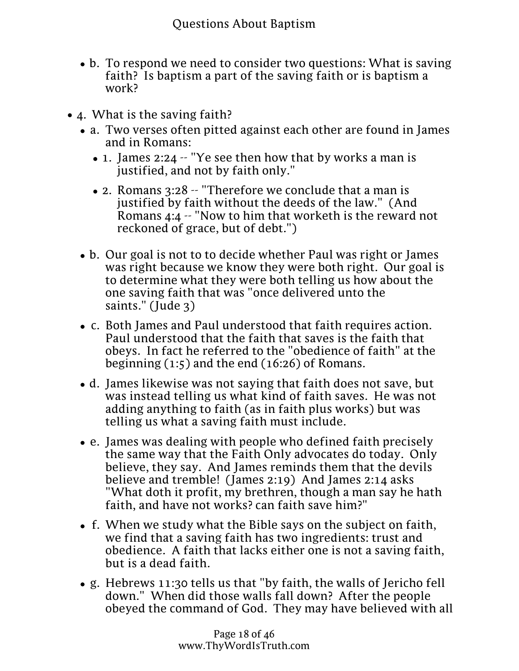by faith apart from works?"

- b. To respond we need to consider two questions: What is saving faith? Is baptism a part of the saving faith or is baptism a work?
- 4. What is the saving faith?
	- a. Two verses often pitted against each other are found in James and in Romans:
		- 1. James 2:24 -- "Ye see then how that by works a man is justified, and not by faith only."
		- 2. Romans 3:28 -- "Therefore we conclude that a man is justified by faith without the deeds of the law." (And Romans 4:4 -- "Now to him that worketh is the reward not reckoned of grace, but of debt.")
	- b. Our goal is not to to decide whether Paul was right or James was right because we know they were both right. Our goal is to determine what they were both telling us how about the one saving faith that was "once delivered unto the saints." (Jude 3)
	- c. Both James and Paul understood that faith requires action. Paul understood that the faith that saves is the faith that obeys. In fact he referred to the "obedience of faith" at the beginning (1:5) and the end (16:26) of Romans.
	- d. James likewise was not saying that faith does not save, but was instead telling us what kind of faith saves. He was not adding anything to faith (as in faith plus works) but was telling us what a saving faith must include.
	- e. James was dealing with people who defined faith precisely the same way that the Faith Only advocates do today. Only believe, they say. And James reminds them that the devils believe and tremble! (James 2:19) And James 2:14 asks "What doth it profit, my brethren, though a man say he hath faith, and have not works? can faith save him?"
	- f. When we study what the Bible says on the subject on faith, we find that a saving faith has two ingredients: trust and obedience. A faith that lacks either one is not a saving faith, but is a dead faith.
	- g. Hebrews 11:30 tells us that "by faith, the walls of Jericho fell down." When did those walls fall down? After the people obeyed the command of God. They may have believed with all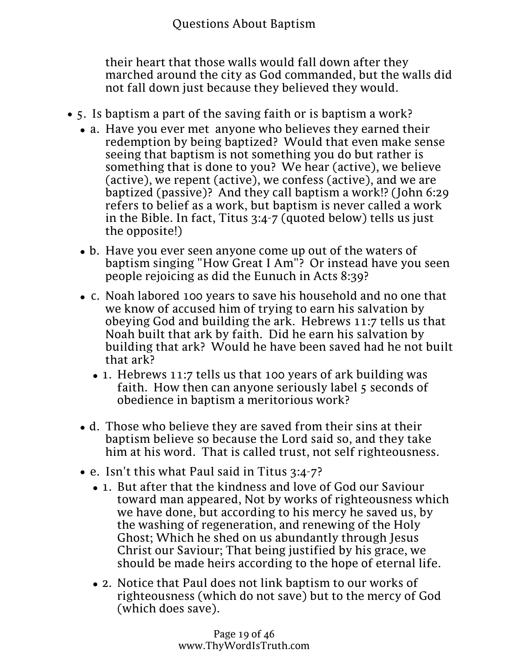their heart that those walls would fall down after they marched around the city as God commanded, but the walls did not fall down just because they believed they would.

- 5. Is baptism a part of the saving faith or is baptism a work?
	- a. Have you ever met anyone who believes they earned their redemption by being baptized? Would that even make sense seeing that baptism is not something you do but rather is something that is done to you? We hear (active), we believe (active), we repent (active), we confess (active), and we are baptized (passive)? And they call baptism a work!? (John 6:29 refers to belief as a work, but baptism is never called a work in the Bible. In fact, Titus 3:4-7 (quoted below) tells us just the opposite!)
	- b. Have you ever seen anyone come up out of the waters of baptism singing "How Great I Am"? Or instead have you seen people rejoicing as did the Eunuch in Acts 8:39?
	- c. Noah labored 100 years to save his household and no one that we know of accused him of trying to earn his salvation by obeying God and building the ark. Hebrews 11:7 tells us that Noah built that ark by faith. Did he earn his salvation by building that ark? Would he have been saved had he not built that ark?
		- 1. Hebrews 11:7 tells us that 100 years of ark building was faith. How then can anyone seriously label 5 seconds of obedience in baptism a meritorious work?
	- d. Those who believe they are saved from their sins at their baptism believe so because the Lord said so, and they take him at his word. That is called trust, not self righteousness.
	- e. Isn't this what Paul said in Titus 3:4-7?
		- 1. But after that the kindness and love of God our Saviour toward man appeared, Not by works of righteousness which we have done, but according to his mercy he saved us, by the washing of regeneration, and renewing of the Holy Ghost; Which he shed on us abundantly through Jesus Christ our Saviour; That being justified by his grace, we should be made heirs according to the hope of eternal life.
		- 2. Notice that Paul does not link baptism to our works of righteousness (which do not save) but to the mercy of God (which does save).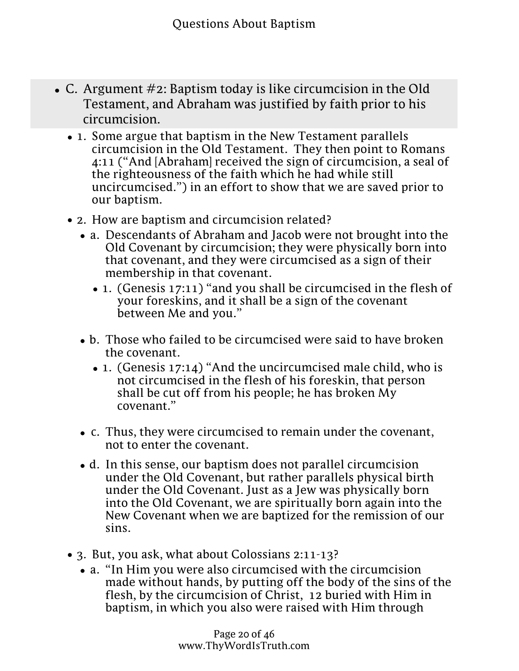- 2. Notice tha**Q Pastlidne Aboultibla baptism** to our works of righteousness (which do not save) but to the mercy of God (which does save).
- C. Argument #2: Baptism today is like circumcision in the Old Testament, and Abraham was justified by faith prior to his circumcision.
	- 1. Some argue that baptism in the New Testament parallels circumcision in the Old Testament. They then point to Romans 4:11 ("And [Abraham] received the sign of circumcision, a seal of the righteousness of the faith which he had while still uncircumcised.") in an effort to show that we are saved prior to our baptism.
	- 2. How are baptism and circumcision related?
		- a. Descendants of Abraham and Jacob were not brought into the Old Covenant by circumcision; they were physically born into that covenant, and they were circumcised as a sign of their membership in that covenant.
			- 1. (Genesis 17:11) "and you shall be circumcised in the flesh of your foreskins, and it shall be a sign of the covenant between Me and you."
		- b. Those who failed to be circumcised were said to have broken the covenant.
			- 1. (Genesis 17:14) "And the uncircumcised male child, who is not circumcised in the flesh of his foreskin, that person shall be cut off from his people; he has broken My covenant."
		- c. Thus, they were circumcised to remain under the covenant, not to enter the covenant.
		- d. In this sense, our baptism does not parallel circumcision under the Old Covenant, but rather parallels physical birth under the Old Covenant. Just as a Jew was physically born into the Old Covenant, we are spiritually born again into the New Covenant when we are baptized for the remission of our sins.
	- 3. But, you ask, what about Colossians 2:11-13?
		- a. "In Him you were also circumcised with the circumcision made without hands, by putting off the body of the sins of the flesh, by the circumcision of Christ, 12 buried with Him in baptism, in which you also were raised with Him through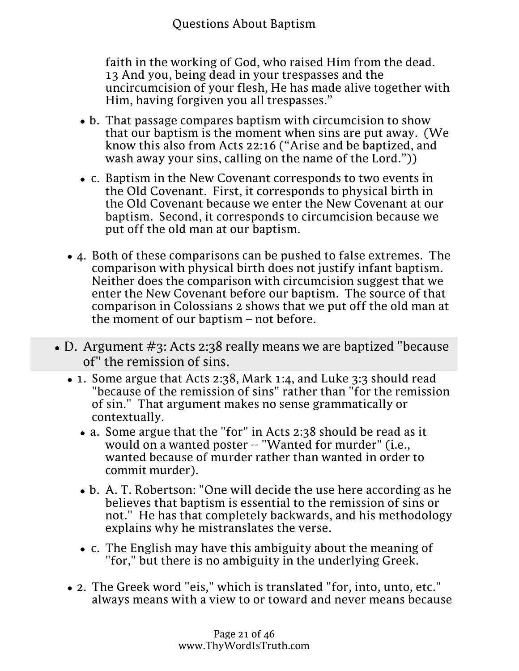$\bullet$  . But, you ask, what about Colossians 2:11-13? We ask that about Colossians 2:11-13?

faith in the working of God, who raised Him from the dead. 13 And you, being dead in your trespasses and the uncircumcision of your flesh, He has made alive together with Him, having forgiven you all trespasses."

- b. That passage compares baptism with circumcision to show that our baptism is the moment when sins are put away. (We know this also from Acts 22:16 ("Arise and be baptized, and wash away your sins, calling on the name of the Lord."))
- c. Baptism in the New Covenant corresponds to two events in the Old Covenant. First, it corresponds to physical birth in the Old Covenant because we enter the New Covenant at our baptism. Second, it corresponds to circumcision because we put off the old man at our baptism.
- 4. Both of these comparisons can be pushed to false extremes. The comparison with physical birth does not justify infant baptism. Neither does the comparison with circumcision suggest that we enter the New Covenant before our baptism. The source of that comparison in Colossians 2 shows that we put off the old man at the moment of our baptism – not before.
- D. Argument #3: Acts 2:38 really means we are baptized "because of" the remission of sins.
	- 1. Some argue that Acts 2:38, Mark 1:4, and Luke 3:3 should read "because of the remission of sins" rather than "for the remission of sin." That argument makes no sense grammatically or contextually.
		- a. Some argue that the "for" in Acts 2:38 should be read as it would on a wanted poster -- "Wanted for murder" (i.e., wanted because of murder rather than wanted in order to commit murder).
		- b. A. T. Robertson: "One will decide the use here according as he believes that baptism is essential to the remission of sins or not." He has that completely backwards, and his methodology explains why he mistranslates the verse.
		- c. The English may have this ambiguity about the meaning of "for," but there is no ambiguity in the underlying Greek.
	- 2. The Greek word "eis," which is translated "for, into, unto, etc." always means with a view to or toward and never means because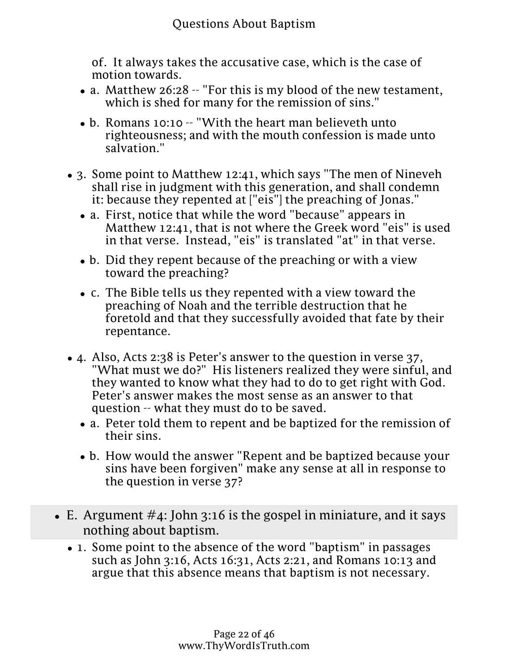of. It always takes the accusative case, which is the case of motion towards.

- a. Matthew 26:28 -- "For this is my blood of the new testament, which is shed for many for the remission of sins."
- b. Romans 10:10 -- "With the heart man believeth unto righteousness; and with the mouth confession is made unto salvation."
- 3. Some point to Matthew 12:41, which says "The men of Nineveh shall rise in judgment with this generation, and shall condemn it: because they repented at ["eis"] the preaching of Jonas."
	- a. First, notice that while the word "because" appears in Matthew 12:41, that is not where the Greek word "eis" is used in that verse. Instead, "eis" is translated "at" in that verse.
	- b. Did they repent because of the preaching or with a view toward the preaching?
	- c. The Bible tells us they repented with a view toward the preaching of Noah and the terrible destruction that he foretold and that they successfully avoided that fate by their repentance.
- 4. Also, Acts 2:38 is Peter's answer to the question in verse 37, "What must we do?" His listeners realized they were sinful, and they wanted to know what they had to do to get right with God. Peter's answer makes the most sense as an answer to that question -- what they must do to be saved.
	- a. Peter told them to repent and be baptized for the remission of their sins.
	- b. How would the answer "Repent and be baptized because your sins have been forgiven" make any sense at all in response to the question in verse 37?
- $\bullet$  E. Argument  $\#$ 4: John 3:16 is the gospel in miniature, and it says nothing about baptism.
	- 1. Some point to the absence of the word "baptism" in passages such as John 3:16, Acts 16:31, Acts 2:21, and Romans 10:13 and argue that this absence means that baptism is not necessary.
		- a. John 3:16 -- "For God so loved the world, that he gave his only begotten Son, that whosoever believeth in him should not perish, but have everlasting life."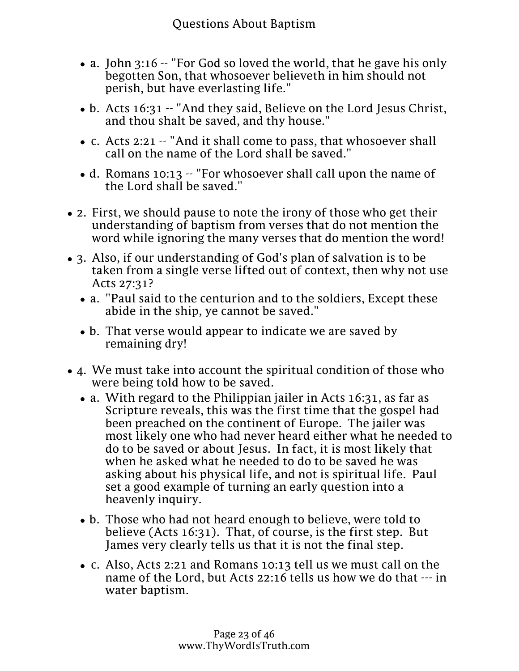- nothing about baptism.
- 1. Some point to **the absons Aboth Buyund** mbaptism" in passages such as John 3:16, Acts 16:31, Acts 2:21, and Romans 10:13 and argue that this absence means that baptism is not necessary.
	- a. John 3:16 -- "For God so loved the world, that he gave his only begotten Son, that whosoever believeth in him should not perish, but have everlasting life."
	- b. Acts 16:31 -- "And they said, Believe on the Lord Jesus Christ, and thou shalt be saved, and thy house."
	- c. Acts 2:21 -- "And it shall come to pass, that whosoever shall call on the name of the Lord shall be saved."
	- d. Romans 10:13 -- "For whosoever shall call upon the name of the Lord shall be saved."
- 2. First, we should pause to note the irony of those who get their understanding of baptism from verses that do not mention the word while ignoring the many verses that do mention the word!
- 3. Also, if our understanding of God's plan of salvation is to be taken from a single verse lifted out of context, then why not use Acts 27:31?
	- a. "Paul said to the centurion and to the soldiers, Except these abide in the ship, ye cannot be saved."
	- b. That verse would appear to indicate we are saved by remaining dry!
- 4. We must take into account the spiritual condition of those who were being told how to be saved.
	- a. With regard to the Philippian jailer in Acts 16:31, as far as Scripture reveals, this was the first time that the gospel had been preached on the continent of Europe. The jailer was most likely one who had never heard either what he needed to do to be saved or about Jesus. In fact, it is most likely that when he asked what he needed to do to be saved he was asking about his physical life, and not is spiritual life. Paul set a good example of turning an early question into a heavenly inquiry.
	- b. Those who had not heard enough to believe, were told to believe (Acts 16:31). That, of course, is the first step. But James very clearly tells us that it is not the final step.
	- c. Also, Acts 2:21 and Romans 10:13 tell us we must call on the name of the Lord, but Acts 22:16 tells us how we do that --- in water baptism.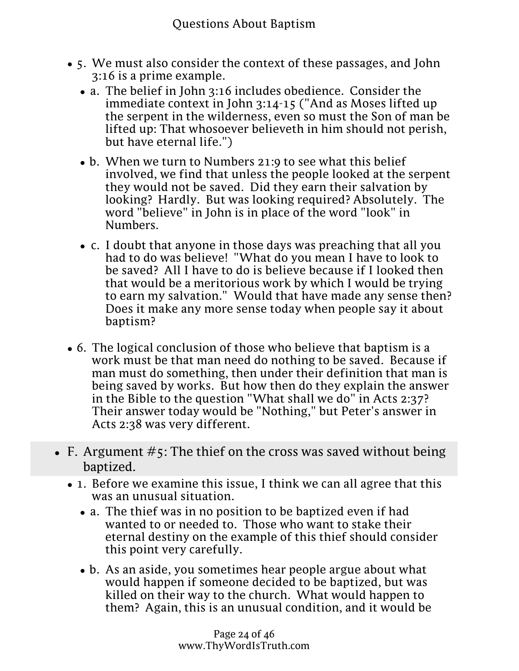- 5. We must also consider the context of these passages, and John 3:16 is a prime example.
	- a. The belief in John 3:16 includes obedience. Consider the immediate context in John 3:14-15 ("And as Moses lifted up the serpent in the wilderness, even so must the Son of man be lifted up: That whosoever believeth in him should not perish, but have eternal life.")
	- b. When we turn to Numbers 21:9 to see what this belief involved, we find that unless the people looked at the serpent they would not be saved. Did they earn their salvation by looking? Hardly. But was looking required? Absolutely. The word "believe" in John is in place of the word "look" in Numbers.
	- c. I doubt that anyone in those days was preaching that all you had to do was believe! "What do you mean I have to look to be saved? All I have to do is believe because if I looked then that would be a meritorious work by which I would be trying to earn my salvation." Would that have made any sense then? Does it make any more sense today when people say it about baptism?
- 6. The logical conclusion of those who believe that baptism is a work must be that man need do nothing to be saved. Because if man must do something, then under their definition that man is being saved by works. But how then do they explain the answer in the Bible to the question "What shall we do" in Acts 2:37? Their answer today would be "Nothing," but Peter's answer in Acts 2:38 was very different.
- F. Argument  $\#$ 5: The thief on the cross was saved without being baptized.
	- 1. Before we examine this issue, I think we can all agree that this was an unusual situation.
		- a. The thief was in no position to be baptized even if had wanted to or needed to. Those who want to stake their eternal destiny on the example of this thief should consider this point very carefully.
		- b. As an aside, you sometimes hear people argue about what would happen if someone decided to be baptized, but was killed on their way to the church. What would happen to them? Again, this is an unusual condition, and it would be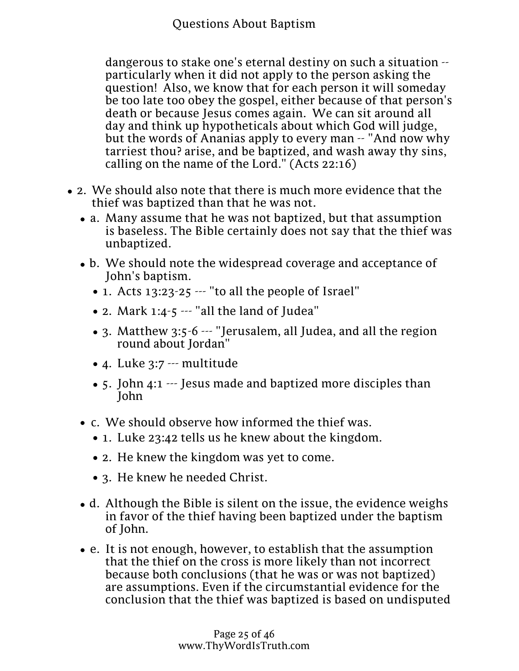dangerous to stake one's eternal destiny on such a situation - particularly when it did not apply to the person asking the question! Also, we know that for each person it will someday be too late too obey the gospel, either because of that person's death or because Jesus comes again. We can sit around all day and think up hypotheticals about which God will judge, but the words of Ananias apply to every man -- "And now why tarriest thou? arise, and be baptized, and wash away thy sins, calling on the name of the Lord." (Acts 22:16)

- 2. We should also note that there is much more evidence that the thief was baptized than that he was not.
	- a. Many assume that he was not baptized, but that assumption is baseless. The Bible certainly does not say that the thief was unbaptized.
	- b. We should note the widespread coverage and acceptance of John's baptism.
		- 1. Acts 13:23-25 --- "to all the people of Israel"
		- 2. Mark 1:4-5 --- "all the land of Judea"
		- 3. Matthew 3:5-6 --- "Jerusalem, all Judea, and all the region round about Jordan"
		- 4. Luke 3:7 --- multitude
		- 5. John 4:1 --- Jesus made and baptized more disciples than John
	- c. We should observe how informed the thief was.
		- 1. Luke 23:42 tells us he knew about the kingdom.
		- 2. He knew the kingdom was yet to come.
		- 3. He knew he needed Christ.
	- d. Although the Bible is silent on the issue, the evidence weighs in favor of the thief having been baptized under the baptism of John.
	- e. It is not enough, however, to establish that the assumption that the thief on the cross is more likely than not incorrect because both conclusions (that he was or was not baptized) are assumptions. Even if the circumstantial evidence for the conclusion that the thief was baptized is based on undisputed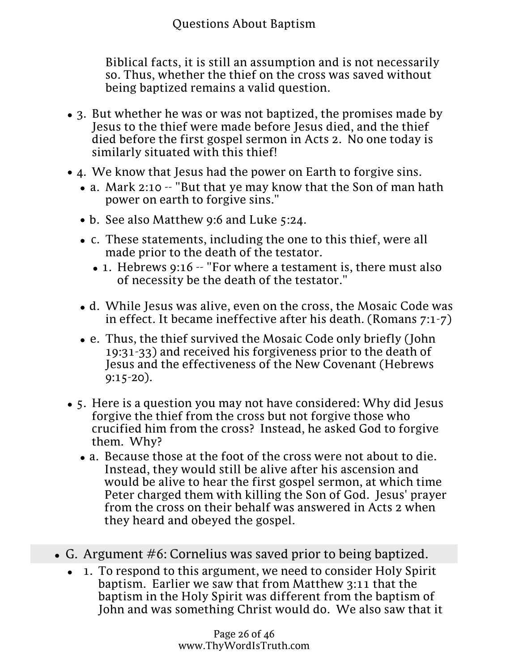Biblical facts, it is still an assumption and is not necessarily so. Thus, whether the thief on the cross was saved without being baptized remains a valid question.

- 3. But whether he was or was not baptized, the promises made by Jesus to the thief were made before Jesus died, and the thief died before the first gospel sermon in Acts 2. No one today is similarly situated with this thief!
- 4. We know that Jesus had the power on Earth to forgive sins.
	- a. Mark 2:10 -- "But that ye may know that the Son of man hath power on earth to forgive sins."
	- b. See also Matthew 9:6 and Luke 5:24.
	- c. These statements, including the one to this thief, were all made prior to the death of the testator.
		- 1. Hebrews 9:16 -- "For where a testament is, there must also of necessity be the death of the testator."
	- d. While Jesus was alive, even on the cross, the Mosaic Code was in effect. It became ineffective after his death. (Romans 7:1-7)
	- e. Thus, the thief survived the Mosaic Code only briefly (John 19:31-33) and received his forgiveness prior to the death of Jesus and the effectiveness of the New Covenant (Hebrews 9:15-20).
- 5. Here is a question you may not have considered: Why did Jesus forgive the thief from the cross but not forgive those who crucified him from the cross? Instead, he asked God to forgive them. Why?
	- a. Because those at the foot of the cross were not about to die. Instead, they would still be alive after his ascension and would be alive to hear the first gospel sermon, at which time Peter charged them with killing the Son of God. Jesus' prayer from the cross on their behalf was answered in Acts 2 when they heard and obeyed the gospel.
- G. Argument #6: Cornelius was saved prior to being baptized.
	- 1. To respond to this argument, we need to consider Holy Spirit baptism. Earlier we saw that from Matthew 3:11 that the baptism in the Holy Spirit was different from the baptism of John and was something Christ would do. We also saw that it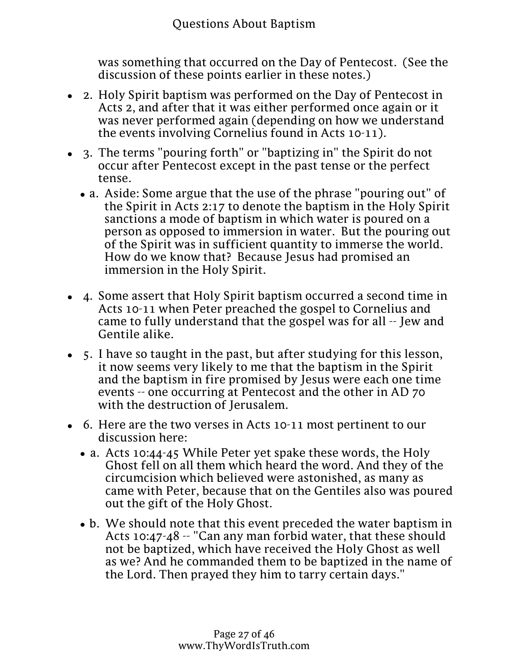

 $\bullet$ 

was something that occurred on the Day of Pentecost. (See the discussion of these points earlier in these notes.)

- 2. Holy Spirit baptism was performed on the Day of Pentecost in Acts 2, and after that it was either performed once again or it was never performed again (depending on how we understand the events involving Cornelius found in Acts 10-11).
- 3. The terms "pouring forth" or "baptizing in" the Spirit do not occur after Pentecost except in the past tense or the perfect tense.
	- a. Aside: Some argue that the use of the phrase "pouring out" of the Spirit in Acts 2:17 to denote the baptism in the Holy Spirit sanctions a mode of baptism in which water is poured on a person as opposed to immersion in water. But the pouring out of the Spirit was in sufficient quantity to immerse the world. How do we know that? Because Jesus had promised an immersion in the Holy Spirit.
- 4. Some assert that Holy Spirit baptism occurred a second time in Acts 10-11 when Peter preached the gospel to Cornelius and came to fully understand that the gospel was for all -- Jew and Gentile alike.
- 5. I have so taught in the past, but after studying for this lesson, it now seems very likely to me that the baptism in the Spirit and the baptism in fire promised by Jesus were each one time events -- one occurring at Pentecost and the other in AD 70 with the destruction of Jerusalem.
- 6. Here are the two verses in Acts 10-11 most pertinent to our discussion here:
	- a. Acts 10:44-45 While Peter yet spake these words, the Holy Ghost fell on all them which heard the word. And they of the circumcision which believed were astonished, as many as came with Peter, because that on the Gentiles also was poured out the gift of the Holy Ghost.
	- b. We should note that this event preceded the water baptism in Acts 10:47-48 -- "Can any man forbid water, that these should not be baptized, which have received the Holy Ghost as well as we? And he commanded them to be baptized in the name of the Lord. Then prayed they him to tarry certain days."
- 7. Let's back up to Acts 2 and note an important fact about the baptism in the Spirit in that chapter: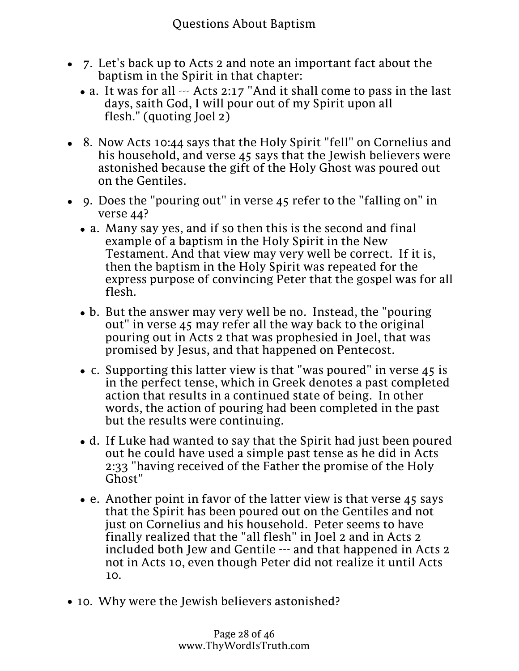- 7. Let's back up to Acts 2 and note an important fact about the baptism in the Spirit in that chapter:
	- a. It was for all --- Acts 2:17 "And it shall come to pass in the last days, saith God, I will pour out of my Spirit upon all flesh." (quoting Joel 2)
- 8. Now Acts 10:44 says that the Holy Spirit "fell" on Cornelius and his household, and verse 45 says that the Jewish believers were astonished because the gift of the Holy Ghost was poured out on the Gentiles.
- 9. Does the "pouring out" in verse 45 refer to the "falling on" in verse 44?
	- a. Many say yes, and if so then this is the second and final example of a baptism in the Holy Spirit in the New Testament. And that view may very well be correct. If it is, then the baptism in the Holy Spirit was repeated for the express purpose of convincing Peter that the gospel was for all flesh.
	- b. But the answer may very well be no. Instead, the "pouring out" in verse 45 may refer all the way back to the original pouring out in Acts 2 that was prophesied in Joel, that was promised by Jesus, and that happened on Pentecost.
	- c. Supporting this latter view is that "was poured" in verse 45 is in the perfect tense, which in Greek denotes a past completed action that results in a continued state of being. In other words, the action of pouring had been completed in the past but the results were continuing.
	- d. If Luke had wanted to say that the Spirit had just been poured out he could have used a simple past tense as he did in Acts 2:33 "having received of the Father the promise of the Holy Ghost"
	- e. Another point in favor of the latter view is that verse 45 says that the Spirit has been poured out on the Gentiles and not just on Cornelius and his household. Peter seems to have finally realized that the "all flesh" in Joel 2 and in Acts 2 included both Jew and Gentile --- and that happened in Acts 2 not in Acts 10, even though Peter did not realize it until Acts 10.
- 10. Why were the Jewish believers astonished?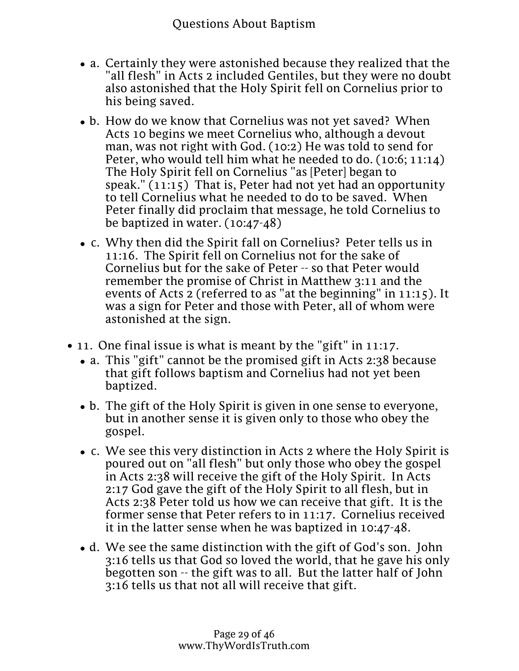- 10. Why were the Jewish believers astonished?
	- a. Certainly they were astonished because they realized that the "all flesh" in Acts 2 included Gentiles, but they were no doubt also astonished that the Holy Spirit fell on Cornelius prior to his being saved.
	- b. How do we know that Cornelius was not yet saved? When Acts 10 begins we meet Cornelius who, although a devout man, was not right with God. (10:2) He was told to send for Peter, who would tell him what he needed to do. (10:6; 11:14) The Holy Spirit fell on Cornelius "as [Peter] began to speak." (11:15) That is, Peter had not yet had an opportunity to tell Cornelius what he needed to do to be saved. When Peter finally did proclaim that message, he told Cornelius to be baptized in water. (10:47-48)
	- c. Why then did the Spirit fall on Cornelius? Peter tells us in 11:16. The Spirit fell on Cornelius not for the sake of Cornelius but for the sake of Peter -- so that Peter would remember the promise of Christ in Matthew 3:11 and the events of Acts 2 (referred to as "at the beginning" in 11:15). It was a sign for Peter and those with Peter, all of whom were astonished at the sign.
- 11. One final issue is what is meant by the "gift" in 11:17.
	- a. This "gift" cannot be the promised gift in Acts 2:38 because that gift follows baptism and Cornelius had not yet been baptized.
	- b. The gift of the Holy Spirit is given in one sense to everyone, but in another sense it is given only to those who obey the gospel.
	- c. We see this very distinction in Acts 2 where the Holy Spirit is poured out on "all flesh" but only those who obey the gospel in Acts 2:38 will receive the gift of the Holy Spirit. In Acts 2:17 God gave the gift of the Holy Spirit to all flesh, but in Acts 2:38 Peter told us how we can receive that gift. It is the former sense that Peter refers to in 11:17. Cornelius received it in the latter sense when he was baptized in 10:47-48.
	- d. We see the same distinction with the gift of God's son. John 3:16 tells us that God so loved the world, that he gave his only begotten son -- the gift was to all. But the latter half of John 3:16 tells us that not all will receive that gift.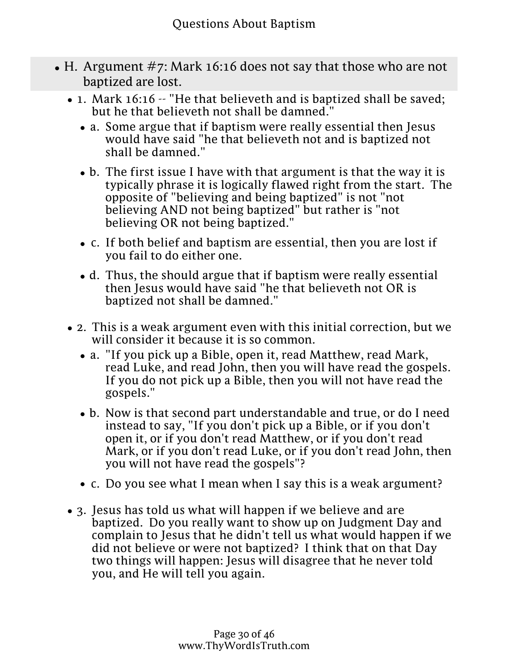- $\bullet$  H. Argument #7: Mark 16:16 does not say that those who are not baptized are lost.
	- 1. Mark 16:16 -- "He that believeth and is baptized shall be saved; but he that believeth not shall be damned."
		- a. Some argue that if baptism were really essential then Jesus would have said "he that believeth not and is baptized not shall be damned."
		- b. The first issue I have with that argument is that the way it is typically phrase it is logically flawed right from the start. The opposite of "believing and being baptized" is not "not believing AND not being baptized" but rather is "not believing OR not being baptized."
		- c. If both belief and baptism are essential, then you are lost if you fail to do either one.
		- d. Thus, the should argue that if baptism were really essential then Jesus would have said "he that believeth not OR is baptized not shall be damned."
	- 2. This is a weak argument even with this initial correction, but we will consider it because it is so common.
		- a. "If you pick up a Bible, open it, read Matthew, read Mark, read Luke, and read John, then you will have read the gospels. If you do not pick up a Bible, then you will not have read the gospels."
		- b. Now is that second part understandable and true, or do I need instead to say, "If you don't pick up a Bible, or if you don't open it, or if you don't read Matthew, or if you don't read Mark, or if you don't read Luke, or if you don't read John, then you will not have read the gospels"?
		- c. Do you see what I mean when I say this is a weak argument?
	- 3. Jesus has told us what will happen if we believe and are baptized. Do you really want to show up on Judgment Day and complain to Jesus that he didn't tell us what would happen if we did not believe or were not baptized? I think that on that Day two things will happen: Jesus will disagree that he never told you, and He will tell you again.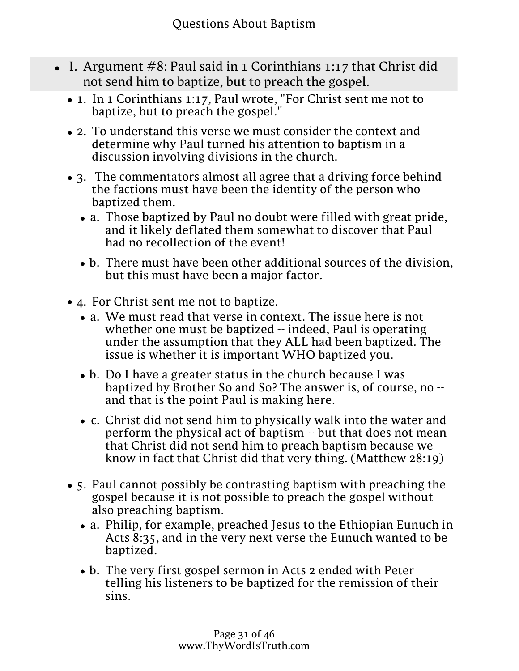- I. Argument  $#8$ : Paul said in 1 Corinthians 1:17 that Christ did not send him to baptize, but to preach the gospel.
	- 1. In 1 Corinthians 1:17, Paul wrote, "For Christ sent me not to baptize, but to preach the gospel."
	- 2. To understand this verse we must consider the context and determine why Paul turned his attention to baptism in a discussion involving divisions in the church.
	- 3. The commentators almost all agree that a driving force behind the factions must have been the identity of the person who baptized them.
		- a. Those baptized by Paul no doubt were filled with great pride, and it likely deflated them somewhat to discover that Paul had no recollection of the event!
		- b. There must have been other additional sources of the division, but this must have been a major factor.
	- 4. For Christ sent me not to baptize.
		- a. We must read that verse in context. The issue here is not whether one must be baptized -- indeed, Paul is operating under the assumption that they ALL had been baptized. The issue is whether it is important WHO baptized you.
		- b. Do I have a greater status in the church because I was baptized by Brother So and So? The answer is, of course, no - and that is the point Paul is making here.
		- c. Christ did not send him to physically walk into the water and perform the physical act of baptism -- but that does not mean that Christ did not send him to preach baptism because we know in fact that Christ did that very thing. (Matthew 28:19)
	- 5. Paul cannot possibly be contrasting baptism with preaching the gospel because it is not possible to preach the gospel without also preaching baptism.
		- a. Philip, for example, preached Jesus to the Ethiopian Eunuch in Acts 8:35, and in the very next verse the Eunuch wanted to be baptized.
		- b. The very first gospel sermon in Acts 2 ended with Peter telling his listeners to be baptized for the remission of their sins.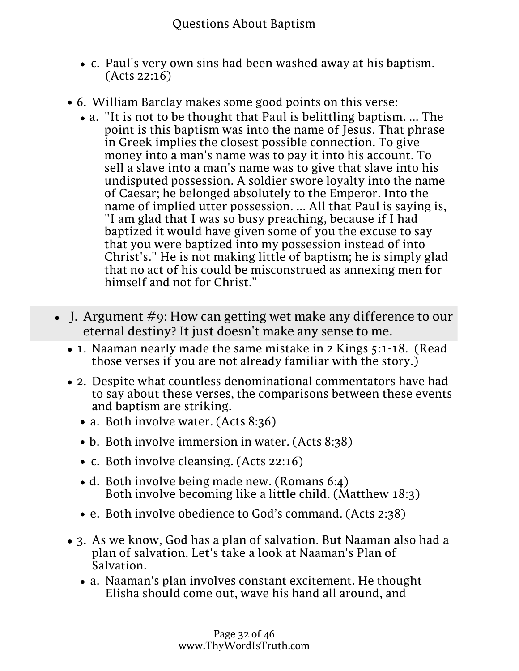- b. The very first gospel sermon in Acts 2 ended with Peter<br>tolling his lining and populated the remission of t telling his listeners to be baptized for the remission of their sins.
- c. Paul's very own sins had been washed away at his baptism. (Acts 22:16)
- 6. William Barclay makes some good points on this verse:
	- a. "It is not to be thought that Paul is belittling baptism. ... The point is this baptism was into the name of Jesus. That phrase in Greek implies the closest possible connection. To give money into a man's name was to pay it into his account. To sell a slave into a man's name was to give that slave into his undisputed possession. A soldier swore loyalty into the name of Caesar; he belonged absolutely to the Emperor. Into the name of implied utter possession. ... All that Paul is saying is, "I am glad that I was so busy preaching, because if I had baptized it would have given some of you the excuse to say that you were baptized into my possession instead of into Christ's." He is not making little of baptism; he is simply glad that no act of his could be misconstrued as annexing men for himself and not for Christ."
- $\bullet$  J. Argument #9: How can getting wet make any difference to our eternal destiny? It just doesn't make any sense to me.
	- 1. Naaman nearly made the same mistake in 2 Kings 5:1-18. (Read those verses if you are not already familiar with the story.)
	- 2. Despite what countless denominational commentators have had to say about these verses, the comparisons between these events and baptism are striking.
		- a. Both involve water. (Acts 8:36)
		- b. Both involve immersion in water. (Acts 8:38)
		- c. Both involve cleansing. (Acts 22:16)
		- d. Both involve being made new. (Romans 6:4) Both involve becoming like a little child. (Matthew 18:3)
		- e. Both involve obedience to God's command. (Acts 2:38)
	- 3. As we know, God has a plan of salvation. But Naaman also had a plan of salvation. Let's take a look at Naaman's Plan of Salvation.
		- a. Naaman's plan involves constant excitement. He thought Elisha should come out, wave his hand all around, and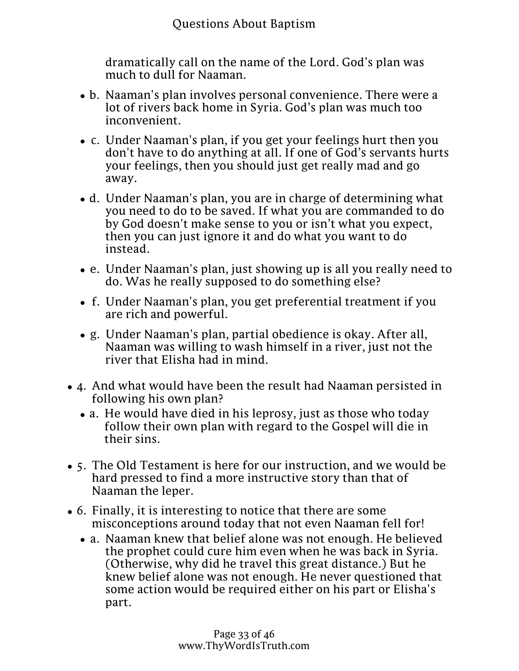- Questions About Baptism  $3.$  As we know  $\alpha$  yields a plane of plane of salvation. But I had also had a plane  $x$ plan of salvation. Let's take a look at Naaman's Plan of Salvation.
- 

dramatically call on the name of the Lord. God's plan was much to dull for Naaman.

- b. Naaman's plan involves personal convenience. There were a lot of rivers back home in Syria. God's plan was much too inconvenient.
- c. Under Naaman's plan, if you get your feelings hurt then you don't have to do anything at all. If one of God's servants hurts your feelings, then you should just get really mad and go away.
- d. Under Naaman's plan, you are in charge of determining what you need to do to be saved. If what you are commanded to do by God doesn't make sense to you or isn't what you expect, then you can just ignore it and do what you want to do instead.
- e. Under Naaman's plan, just showing up is all you really need to do. Was he really supposed to do something else?
- f. Under Naaman's plan, you get preferential treatment if you are rich and powerful.
- g. Under Naaman's plan, partial obedience is okay. After all, Naaman was willing to wash himself in a river, just not the river that Elisha had in mind.
- 4. And what would have been the result had Naaman persisted in following his own plan?
	- a. He would have died in his leprosy, just as those who today follow their own plan with regard to the Gospel will die in their sins.
- 5. The Old Testament is here for our instruction, and we would be hard pressed to find a more instructive story than that of Naaman the leper.
- 6. Finally, it is interesting to notice that there are some misconceptions around today that not even Naaman fell for!
	- a. Naaman knew that belief alone was not enough. He believed the prophet could cure him even when he was back in Syria. (Otherwise, why did he travel this great distance.) But he knew belief alone was not enough. He never questioned that some action would be required either on his part or Elisha's part.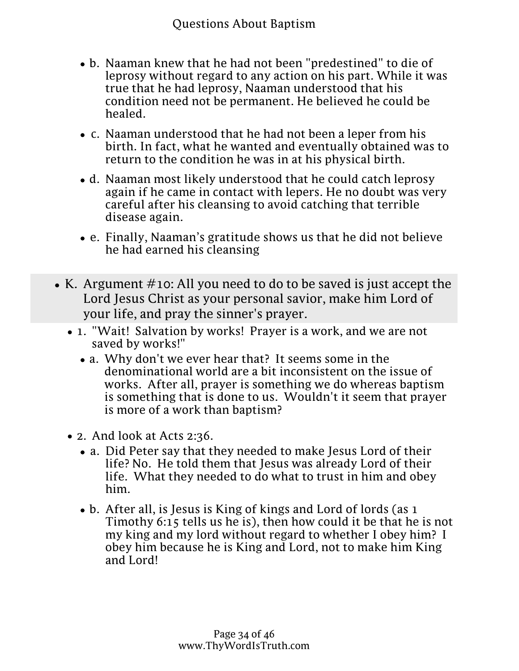knew belief alone was not enough. He never questioned that<br>some action Questions About Baptism on his nert or Elishe's (Otherwise, why did he travel this great distance.) But he some action would be required either on his part or Elisha's part.

- b. Naaman knew that he had not been "predestined" to die of leprosy without regard to any action on his part. While it was true that he had leprosy, Naaman understood that his condition need not be permanent. He believed he could be healed.
- c. Naaman understood that he had not been a leper from his birth. In fact, what he wanted and eventually obtained was to return to the condition he was in at his physical birth.
- d. Naaman most likely understood that he could catch leprosy again if he came in contact with lepers. He no doubt was very careful after his cleansing to avoid catching that terrible disease again.
- e. Finally, Naaman's gratitude shows us that he did not believe he had earned his cleansing
- K. Argument  $\#$ 10: All you need to do to be saved is just accept the Lord Jesus Christ as your personal savior, make him Lord of your life, and pray the sinner's prayer.
	- 1. "Wait! Salvation by works! Prayer is a work, and we are not saved by works!"
		- a. Why don't we ever hear that? It seems some in the denominational world are a bit inconsistent on the issue of works. After all, prayer is something we do whereas baptism is something that is done to us. Wouldn't it seem that prayer is more of a work than baptism?
	- 2. And look at Acts 2:36.
		- a. Did Peter say that they needed to make Jesus Lord of their life? No. He told them that Jesus was already Lord of their life. What they needed to do what to trust in him and obey him.
		- b. After all, is Jesus is King of kings and Lord of lords (as 1 Timothy 6:15 tells us he is), then how could it be that he is not my king and my lord without regard to whether I obey him? I obey him because he is King and Lord, not to make him King and Lord!
	- 3. The so-called "Sinner's Prayer" that you hear so much about today from denominational preachers does not appear anywhere in the Bible.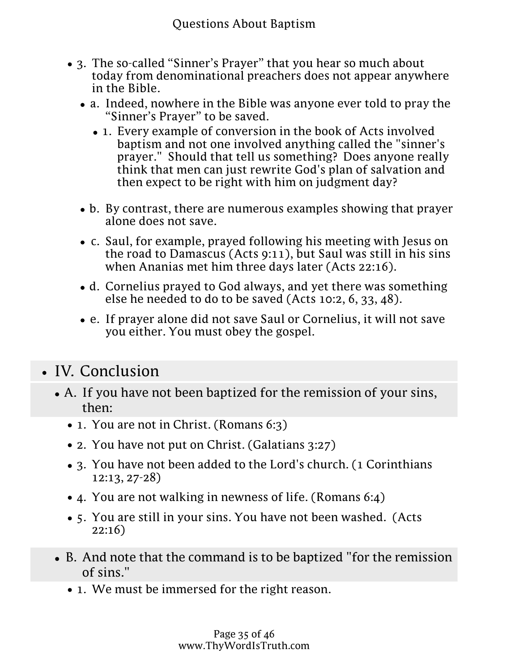- 3. The so-called "Sinner's Prayer" that you hear so much about today from denominational preachers does not appear anywhere in the Bible.
	- a. Indeed, nowhere in the Bible was anyone ever told to pray the "Sinner's Prayer" to be saved.
		- 1. Every example of conversion in the book of Acts involved baptism and not one involved anything called the "sinner's prayer." Should that tell us something? Does anyone really think that men can just rewrite God's plan of salvation and then expect to be right with him on judgment day?
	- b. By contrast, there are numerous examples showing that prayer alone does not save.
	- c. Saul, for example, prayed following his meeting with Jesus on the road to Damascus (Acts 9:11), but Saul was still in his sins when Ananias met him three days later (Acts 22:16).
	- d. Cornelius prayed to God always, and yet there was something else he needed to do to be saved (Acts 10:2, 6, 33, 48).
	- e. If prayer alone did not save Saul or Cornelius, it will not save you either. You must obey the gospel.
- IV. Conclusion
	- A. If you have not been baptized for the remission of your sins, then:
		- 1. You are not in Christ. (Romans 6:3)
		- 2. You have not put on Christ. (Galatians 3:27)
		- 3. You have not been added to the Lord's church. (1 Corinthians 12:13, 27-28)
		- 4. You are not walking in newness of life. (Romans 6:4)
		- 5. You are still in your sins. You have not been washed. (Acts 22:16)
	- B. And note that the command is to be baptized "for the remission of sins."
		- 1. We must be immersed for the right reason.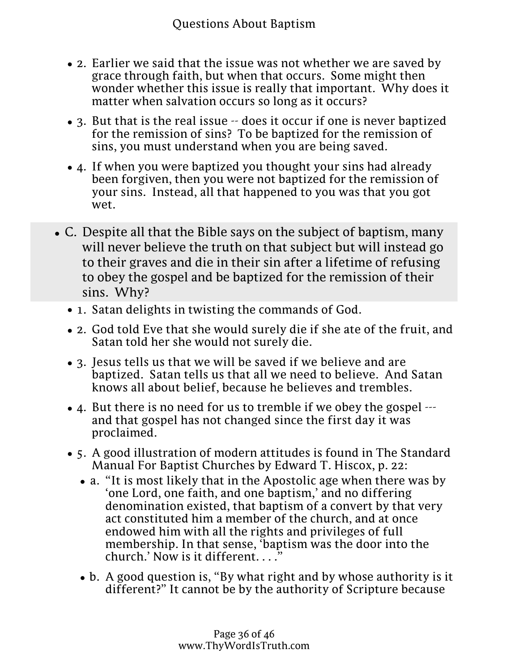- Questions About Baptism B. And note that the command is to be baptized "for the remission of sins."
	- 1. We must be immersed for the right reason.
	- 2. Earlier we said that the issue was not whether we are saved by grace through faith, but when that occurs. Some might then wonder whether this issue is really that important. Why does it matter when salvation occurs so long as it occurs?
	- 3. But that is the real issue -- does it occur if one is never baptized for the remission of sins? To be baptized for the remission of sins, you must understand when you are being saved.
	- 4. If when you were baptized you thought your sins had already been forgiven, then you were not baptized for the remission of your sins. Instead, all that happened to you was that you got wet.
- C. Despite all that the Bible says on the subject of baptism, many will never believe the truth on that subject but will instead go to their graves and die in their sin after a lifetime of refusing to obey the gospel and be baptized for the remission of their sins. Why?
	- 1. Satan delights in twisting the commands of God.
	- 2. God told Eve that she would surely die if she ate of the fruit, and Satan told her she would not surely die.
	- 3. Jesus tells us that we will be saved if we believe and are baptized. Satan tells us that all we need to believe. And Satan knows all about belief, because he believes and trembles.
	- 4. But there is no need for us to tremble if we obey the gospel --and that gospel has not changed since the first day it was proclaimed.
	- 5. A good illustration of modern attitudes is found in The Standard Manual For Baptist Churches by Edward T. Hiscox, p. 22:
		- a. "It is most likely that in the Apostolic age when there was by 'one Lord, one faith, and one baptism,' and no differing denomination existed, that baptism of a convert by that very act constituted him a member of the church, and at once endowed him with all the rights and privileges of full membership. In that sense, 'baptism was the door into the church.' Now is it different....'
		- b. A good question is, "By what right and by whose authority is it different?" It cannot be by the authority of Scripture because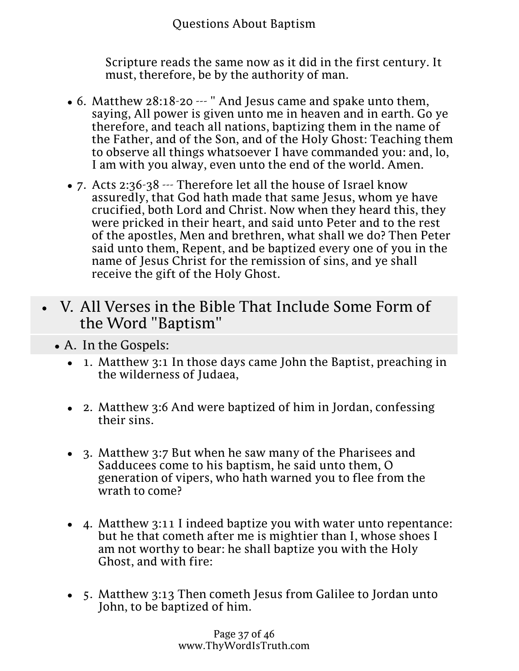Scripture reads the same now as it did in the first century. It must, therefore, be by the authority of man.

- 6. Matthew 28:18-20 --- " And Jesus came and spake unto them, saying, All power is given unto me in heaven and in earth. Go ye therefore, and teach all nations, baptizing them in the name of the Father, and of the Son, and of the Holy Ghost: Teaching them to observe all things whatsoever I have commanded you: and, lo, I am with you alway, even unto the end of the world. Amen.
- 7. Acts 2:36-38 --- Therefore let all the house of Israel know assuredly, that God hath made that same Jesus, whom ye have crucified, both Lord and Christ. Now when they heard this, they were pricked in their heart, and said unto Peter and to the rest of the apostles, Men and brethren, what shall we do? Then Peter said unto them, Repent, and be baptized every one of you in the name of Jesus Christ for the remission of sins, and ye shall receive the gift of the Holy Ghost.
- V. All Verses in the Bible That Include Some Form of the Word "Baptism"
	- A. In the Gospels:
		- 1. Matthew 3:1 In those days came John the Baptist, preaching in the wilderness of Judaea,
		- 2. Matthew 3:6 And were baptized of him in Jordan, confessing their sins.
		- 3. Matthew 3:7 But when he saw many of the Pharisees and Sadducees come to his baptism, he said unto them, O generation of vipers, who hath warned you to flee from the wrath to come?
		- 4. Matthew 3:11 I indeed baptize you with water unto repentance: but he that cometh after me is mightier than I, whose shoes I am not worthy to bear: he shall baptize you with the Holy Ghost, and with fire:
		- 5. Matthew 3:13 Then cometh Jesus from Galilee to Jordan unto John, to be baptized of him.

Page 37 of 46 www.ThyWordIsTruth.com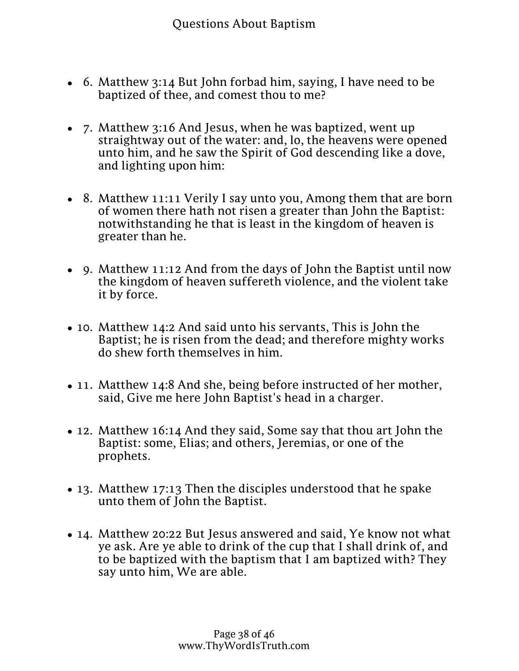- 6. Matthew 3:14 But John forbad him, saying, I have need to be baptized of thee, and comest thou to me?
- 7. Matthew 3:16 And Jesus, when he was baptized, went up straightway out of the water: and, lo, the heavens were opened unto him, and he saw the Spirit of God descending like a dove, and lighting upon him:
- 8. Matthew 11:11 Verily I say unto you, Among them that are born of women there hath not risen a greater than John the Baptist: notwithstanding he that is least in the kingdom of heaven is greater than he.
- 9. Matthew 11:12 And from the days of John the Baptist until now the kingdom of heaven suffereth violence, and the violent take it by force.
- 10. Matthew 14:2 And said unto his servants, This is John the Baptist; he is risen from the dead; and therefore mighty works do shew forth themselves in him.
- 11. Matthew 14:8 And she, being before instructed of her mother, said, Give me here John Baptist's head in a charger.
- 12. Matthew 16:14 And they said, Some say that thou art John the Baptist: some, Elias; and others, Jeremias, or one of the prophets.
- 13. Matthew 17:13 Then the disciples understood that he spake unto them of John the Baptist.
- 14. Matthew 20:22 But Jesus answered and said, Ye know not what ye ask. Are ye able to drink of the cup that I shall drink of, and to be baptized with the baptism that I am baptized with? They say unto him, We are able.
- with: but to sit on my right hand, and on my left, is not mine to give, but it shall be given to them for whom it is prepared of my 15. Matthew 20:23 And he saith unto them, Ye shall drink indeed of my cup, and be baptized with the baptism that I am baptized Father.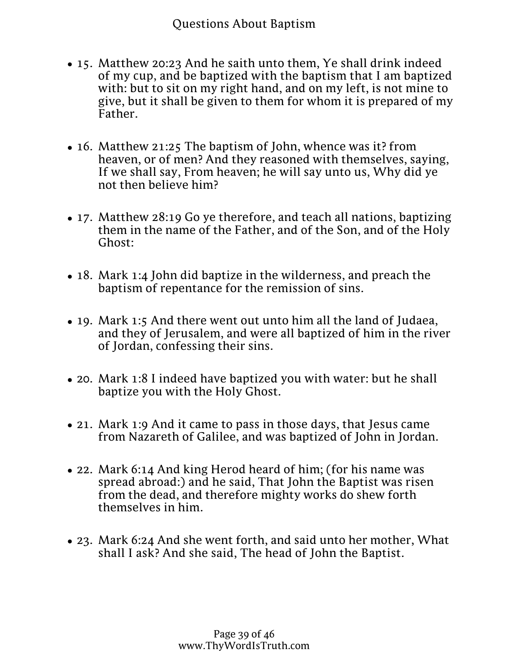- 15. Matthew 20:23 And he saith unto them, Ye shall drink indeed of my cup, and be baptized with the baptism that I am baptized with: but to sit on my right hand, and on my left, is not mine to give, but it shall be given to them for whom it is prepared of my Father.
- 16. Matthew 21:25 The baptism of John, whence was it? from heaven, or of men? And they reasoned with themselves, saying, If we shall say, From heaven; he will say unto us, Why did ye not then believe him?
- 17. Matthew 28:19 Go ye therefore, and teach all nations, baptizing them in the name of the Father, and of the Son, and of the Holy Ghost:
- 18. Mark 1:4 John did baptize in the wilderness, and preach the baptism of repentance for the remission of sins.
- 19. Mark 1:5 And there went out unto him all the land of Judaea, and they of Jerusalem, and were all baptized of him in the river of Jordan, confessing their sins.
- 20. Mark 1:8 I indeed have baptized you with water: but he shall baptize you with the Holy Ghost.
- 21. Mark 1:9 And it came to pass in those days, that Jesus came from Nazareth of Galilee, and was baptized of John in Jordan.
- 22. Mark 6:14 And king Herod heard of him; (for his name was spread abroad:) and he said, That John the Baptist was risen from the dead, and therefore mighty works do shew forth themselves in him.
- 23. Mark 6:24 And she went forth, and said unto her mother, What shall I ask? And she said, The head of John the Baptist.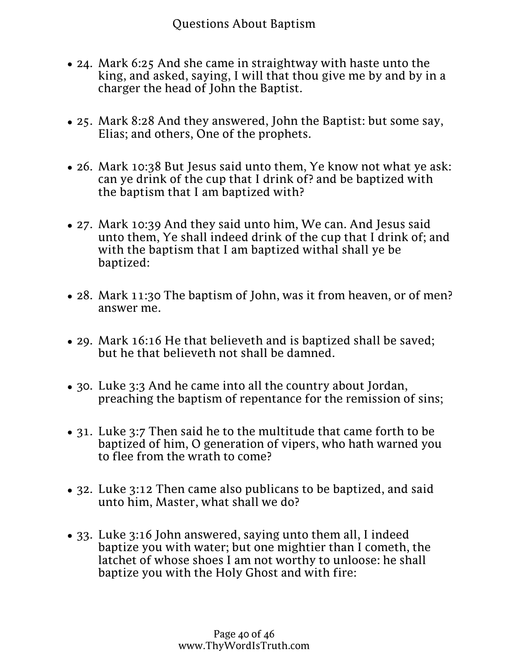- 23. Mark 6:24 And she went forth, and said unto her mother, What<br>chall Lask 2 And Stions, Apput Baptism and no Pantist shall I ask? And she said, The head of John the Baptist.
- 24. Mark 6:25 And she came in straightway with haste unto the king, and asked, saying, I will that thou give me by and by in a charger the head of John the Baptist.
- 25. Mark 8:28 And they answered, John the Baptist: but some say, Elias; and others, One of the prophets.
- 26. Mark 10:38 But Jesus said unto them, Ye know not what ye ask: can ye drink of the cup that I drink of? and be baptized with the baptism that I am baptized with?
- 27. Mark 10:39 And they said unto him, We can. And Jesus said unto them, Ye shall indeed drink of the cup that I drink of; and with the baptism that I am baptized withal shall ye be baptized:
- 28. Mark 11:30 The baptism of John, was it from heaven, or of men? answer me.
- 29. Mark 16:16 He that believeth and is baptized shall be saved; but he that believeth not shall be damned.
- 30. Luke 3:3 And he came into all the country about Jordan, preaching the baptism of repentance for the remission of sins;
- 31. Luke 3:7 Then said he to the multitude that came forth to be baptized of him, O generation of vipers, who hath warned you to flee from the wrath to come?
- 32. Luke 3:12 Then came also publicans to be baptized, and said unto him, Master, what shall we do?
- 33. Luke 3:16 John answered, saying unto them all, I indeed baptize you with water; but one mightier than I cometh, the latchet of whose shoes I am not worthy to unloose: he shall baptize you with the Holy Ghost and with fire: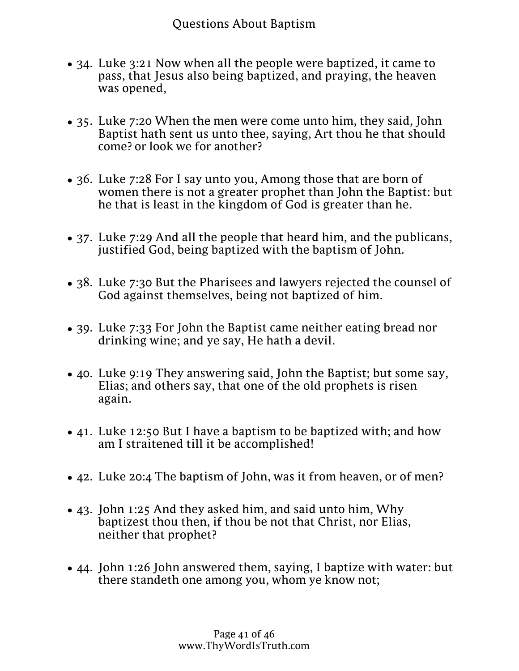latchet of whose shoes I am not worthy to unloose: he shall<br>bontize you with AllOHs About Baptism; the fire baptize you with water; but one mightier than I cometh, the baptize you with the Holy Ghost and with fire:

- 34. Luke 3:21 Now when all the people were baptized, it came to pass, that Jesus also being baptized, and praying, the heaven was opened,
- 35. Luke 7:20 When the men were come unto him, they said, John Baptist hath sent us unto thee, saying, Art thou he that should come? or look we for another?
- 36. Luke 7:28 For I say unto you, Among those that are born of women there is not a greater prophet than John the Baptist: but he that is least in the kingdom of God is greater than he.
- 37. Luke 7:29 And all the people that heard him, and the publicans, justified God, being baptized with the baptism of John.
- 38. Luke 7:30 But the Pharisees and lawyers rejected the counsel of God against themselves, being not baptized of him.
- 39. Luke 7:33 For John the Baptist came neither eating bread nor drinking wine; and ye say, He hath a devil.
- 40. Luke 9:19 They answering said, John the Baptist; but some say, Elias; and others say, that one of the old prophets is risen again.
- 41. Luke 12:50 But I have a baptism to be baptized with; and how am I straitened till it be accomplished!
- 42. Luke 20:4 The baptism of John, was it from heaven, or of men?
- 43. John 1:25 And they asked him, and said unto him, Why baptizest thou then, if thou be not that Christ, nor Elias, neither that prophet?
- 44. John 1:26 John answered them, saying, I baptize with water: but there standeth one among you, whom ye know not;
- Page  $41$  of  $46$ www.ThyWordIsTruth.com 45. John 1:28 These things were done in Bethabara beyond Jordan, where John was baptizing.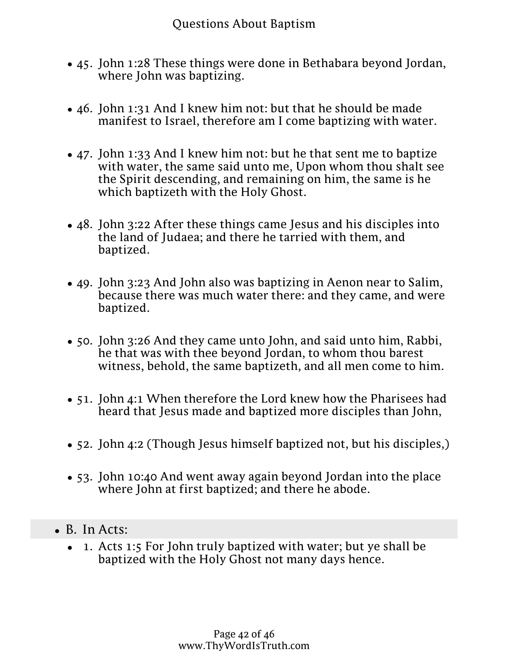- 45. John 1:28 These things were done in Bethabara beyond Jordan, where John was baptizing.
- 46. John 1:31 And I knew him not: but that he should be made manifest to Israel, therefore am I come baptizing with water.
- 47. John 1:33 And I knew him not: but he that sent me to baptize with water, the same said unto me, Upon whom thou shalt see the Spirit descending, and remaining on him, the same is he which baptizeth with the Holy Ghost.
- 48. John 3:22 After these things came Jesus and his disciples into the land of Judaea; and there he tarried with them, and baptized.
- 49. John 3:23 And John also was baptizing in Aenon near to Salim, because there was much water there: and they came, and were baptized.
- 50. John 3:26 And they came unto John, and said unto him, Rabbi, he that was with thee beyond Jordan, to whom thou barest witness, behold, the same baptizeth, and all men come to him.
- 51. John 4:1 When therefore the Lord knew how the Pharisees had heard that Jesus made and baptized more disciples than John,
- 52. John 4:2 (Though Jesus himself baptized not, but his disciples,)
- 53. John 10:40 And went away again beyond Jordan into the place where John at first baptized; and there he abode.
- $\bullet$  B. In Acts:
	- 1. Acts 1:5 For John truly baptized with water; but ye shall be baptized with the Holy Ghost not many days hence.
	- 2. Acts 1:22 Beginning from the baptism of John, unto that same day that he was taken up from us, must one be ordained to be a witness with us of his resurrection.

Page 42 of 46 www.ThyWordIsTruth.com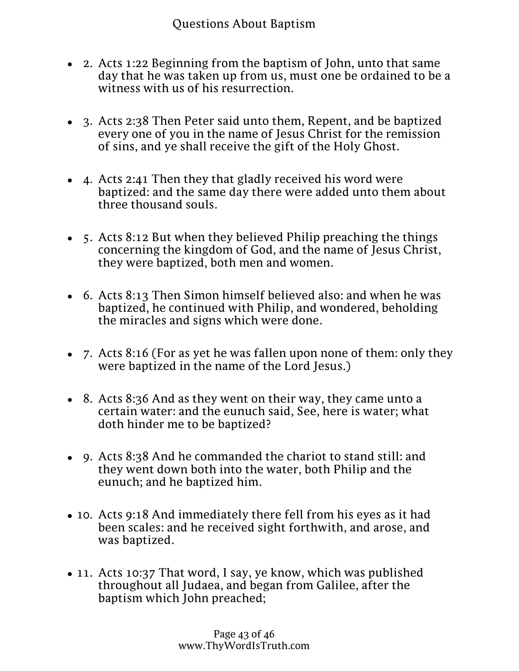B. In Acts:

- 2. Acts 1:22 Beginning from the baptism of John, unto that same day that he was taken up from us, must one be ordained to be a witness with us of his resurrection.
- 3. Acts 2:38 Then Peter said unto them, Repent, and be baptized every one of you in the name of Jesus Christ for the remission of sins, and ye shall receive the gift of the Holy Ghost.
- 4. Acts 2:41 Then they that gladly received his word were baptized: and the same day there were added unto them about three thousand souls.
- 5. Acts 8:12 But when they believed Philip preaching the things concerning the kingdom of God, and the name of Jesus Christ, they were baptized, both men and women.
- 6. Acts 8:13 Then Simon himself believed also: and when he was baptized, he continued with Philip, and wondered, beholding the miracles and signs which were done.
- 7. Acts 8:16 (For as yet he was fallen upon none of them: only they were baptized in the name of the Lord Jesus.)
- 8. Acts 8:36 And as they went on their way, they came unto a certain water: and the eunuch said, See, here is water; what doth hinder me to be baptized?
- 9. Acts 8:38 And he commanded the chariot to stand still: and they went down both into the water, both Philip and the eunuch; and he baptized him.
- 10. Acts 9:18 And immediately there fell from his eyes as it had been scales: and he received sight forthwith, and arose, and was baptized.
- 11. Acts 10:37 That word, I say, ye know, which was published throughout all Judaea, and began from Galilee, after the baptism which John preached;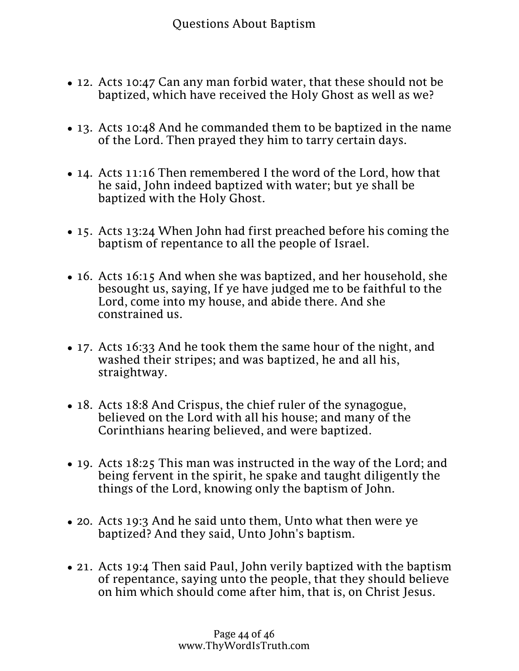- 12. Acts 10:47 Can any man forbid water, that these should not be baptized, which have received the Holy Ghost as well as we?
- 13. Acts 10:48 And he commanded them to be baptized in the name of the Lord. Then prayed they him to tarry certain days.
- 14. Acts 11:16 Then remembered I the word of the Lord, how that he said, John indeed baptized with water; but ye shall be baptized with the Holy Ghost.
- 15. Acts 13:24 When John had first preached before his coming the baptism of repentance to all the people of Israel.
- 16. Acts 16:15 And when she was baptized, and her household, she besought us, saying, If ye have judged me to be faithful to the Lord, come into my house, and abide there. And she constrained us.
- 17. Acts 16:33 And he took them the same hour of the night, and washed their stripes; and was baptized, he and all his, straightway.
- 18. Acts 18:8 And Crispus, the chief ruler of the synagogue, believed on the Lord with all his house; and many of the Corinthians hearing believed, and were baptized.
- 19. Acts 18:25 This man was instructed in the way of the Lord; and being fervent in the spirit, he spake and taught diligently the things of the Lord, knowing only the baptism of John.
- 20. Acts 19:3 And he said unto them, Unto what then were ye baptized? And they said, Unto John's baptism.
- 21. Acts 19:4 Then said Paul, John verily baptized with the baptism of repentance, saying unto the people, that they should believe on him which should come after him, that is, on Christ Jesus.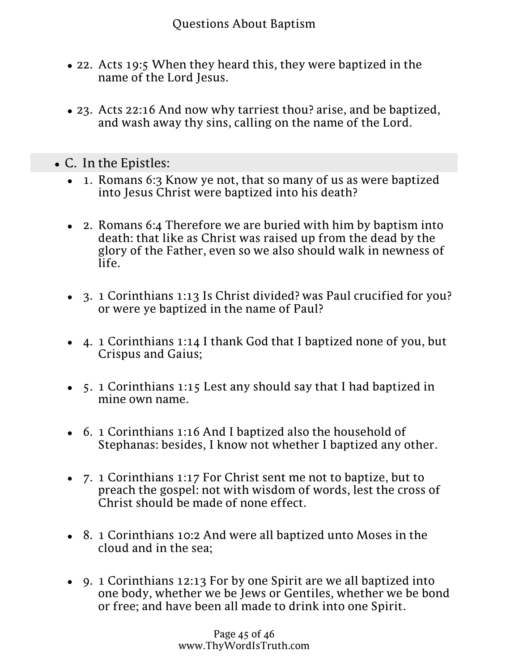- of repentance saying unto the people, that they should believe 21. Acts 19:4 Then said Paul, John verily baptized with the baptism on him which should come after him, that is, on Christ Jesus.
- 22. Acts 19:5 When they heard this, they were baptized in the name of the Lord Jesus.
- 23. Acts 22:16 And now why tarriest thou? arise, and be baptized, and wash away thy sins, calling on the name of the Lord.
- C. In the Epistles:
	- 1. Romans 6:3 Know ye not, that so many of us as were baptized into Jesus Christ were baptized into his death?
	- 2. Romans 6:4 Therefore we are buried with him by baptism into death: that like as Christ was raised up from the dead by the glory of the Father, even so we also should walk in newness of life.
	- 3. 1 Corinthians 1:13 Is Christ divided? was Paul crucified for you? or were ye baptized in the name of Paul?
	- 4. 1 Corinthians 1:14 I thank God that I baptized none of you, but Crispus and Gaius;
	- 5. 1 Corinthians 1:15 Lest any should say that I had baptized in mine own name.
	- 6. 1 Corinthians 1:16 And I baptized also the household of Stephanas: besides, I know not whether I baptized any other.
	- 7. 1 Corinthians 1:17 For Christ sent me not to baptize, but to preach the gospel: not with wisdom of words, lest the cross of Christ should be made of none effect.
	- 8. 1 Corinthians 10:2 And were all baptized unto Moses in the cloud and in the sea;
	- 9. 1 Corinthians 12:13 For by one Spirit are we all baptized into one body, whether we be Jews or Gentiles, whether we be bond or free; and have been all made to drink into one Spirit.